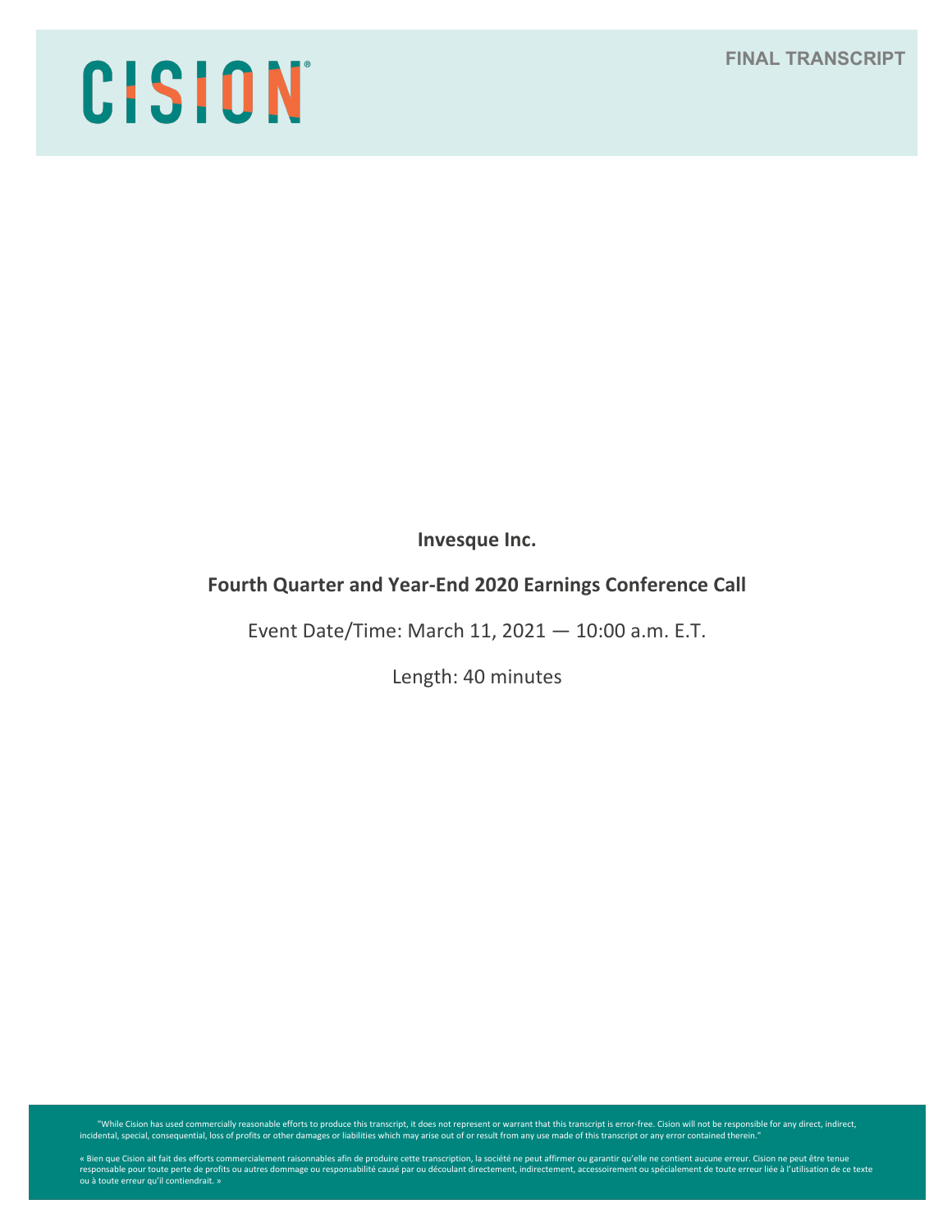**FINAL TRANSCRIPT**

# CISION

**Invesque Inc.**

# **Fourth Quarter and Year-End 2020 Earnings Conference Call**

Event Date/Time: March 11, 2021 — 10:00 a.m. E.T.

Length: 40 minutes

While Cision has used commercially reasonable efforts to produce this transcript, it does not represent or warrant that this transcript is error-free. Cision will not be responsible for any direct, indirect, indirect, indi

« Bien que Cision ait fait des efforts commercialement raisonnables afin de produire cette transcription, la société ne peut affirmer ou garantir qu'elle ne contient aucune erreur. Cision ne peut être tenue<br>responsable pou ou à toute erreur qu'il contiendrait. »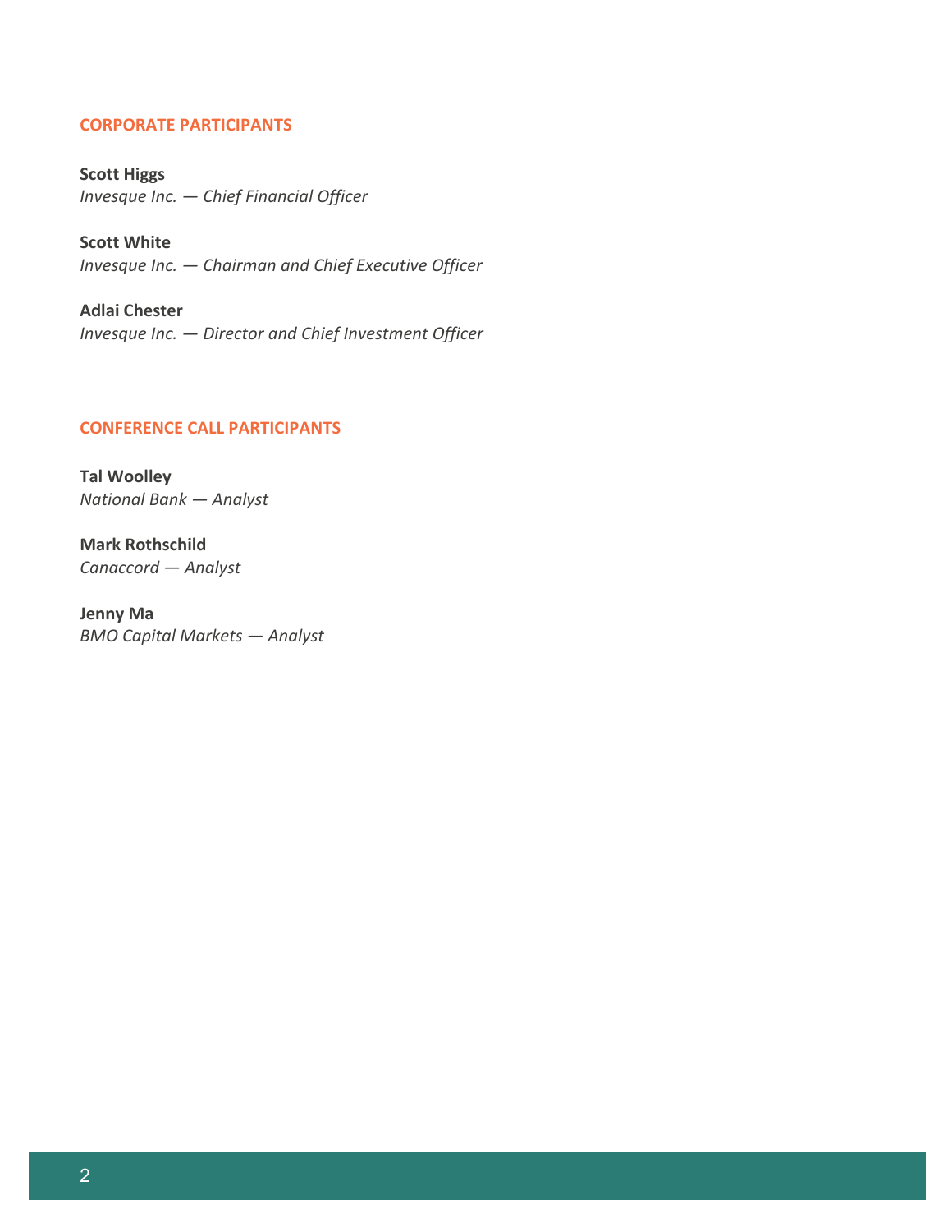## **CORPORATE PARTICIPANTS**

**Scott Higgs** *Invesque Inc. — Chief Financial Officer*

**Scott White** *Invesque Inc. — Chairman and Chief Executive Officer*

**Adlai Chester** *Invesque Inc. — Director and Chief Investment Officer*

# **CONFERENCE CALL PARTICIPANTS**

**Tal Woolley** *National Bank — Analyst*

**Mark Rothschild** *Canaccord — Analyst*

**Jenny Ma** *BMO Capital Markets — Analyst*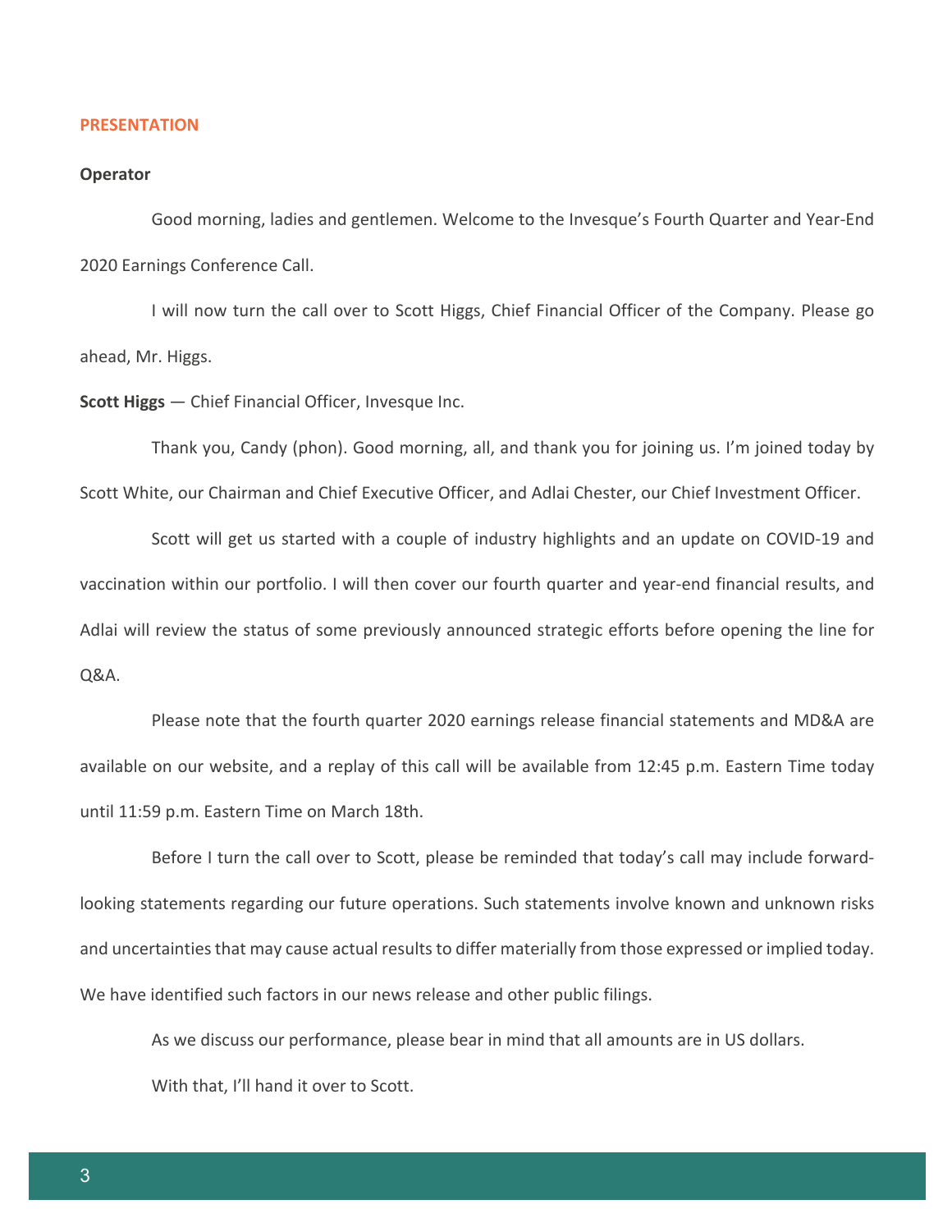#### **PRESENTATION**

#### **Operator**

Good morning, ladies and gentlemen. Welcome to the Invesque's Fourth Quarter and Year-End 2020 Earnings Conference Call.

I will now turn the call over to Scott Higgs, Chief Financial Officer of the Company. Please go ahead, Mr. Higgs.

**Scott Higgs** — Chief Financial Officer, Invesque Inc.

Thank you, Candy (phon). Good morning, all, and thank you for joining us. I'm joined today by Scott White, our Chairman and Chief Executive Officer, and Adlai Chester, our Chief Investment Officer.

Scott will get us started with a couple of industry highlights and an update on COVID-19 and vaccination within our portfolio. I will then cover our fourth quarter and year-end financial results, and Adlai will review the status of some previously announced strategic efforts before opening the line for Q&A.

Please note that the fourth quarter 2020 earnings release financial statements and MD&A are available on our website, and a replay of this call will be available from 12:45 p.m. Eastern Time today until 11:59 p.m. Eastern Time on March 18th.

Before I turn the call over to Scott, please be reminded that today's call may include forwardlooking statements regarding our future operations. Such statements involve known and unknown risks and uncertainties that may cause actual results to differ materially from those expressed or implied today. We have identified such factors in our news release and other public filings.

As we discuss our performance, please bear in mind that all amounts are in US dollars. With that, I'll hand it over to Scott.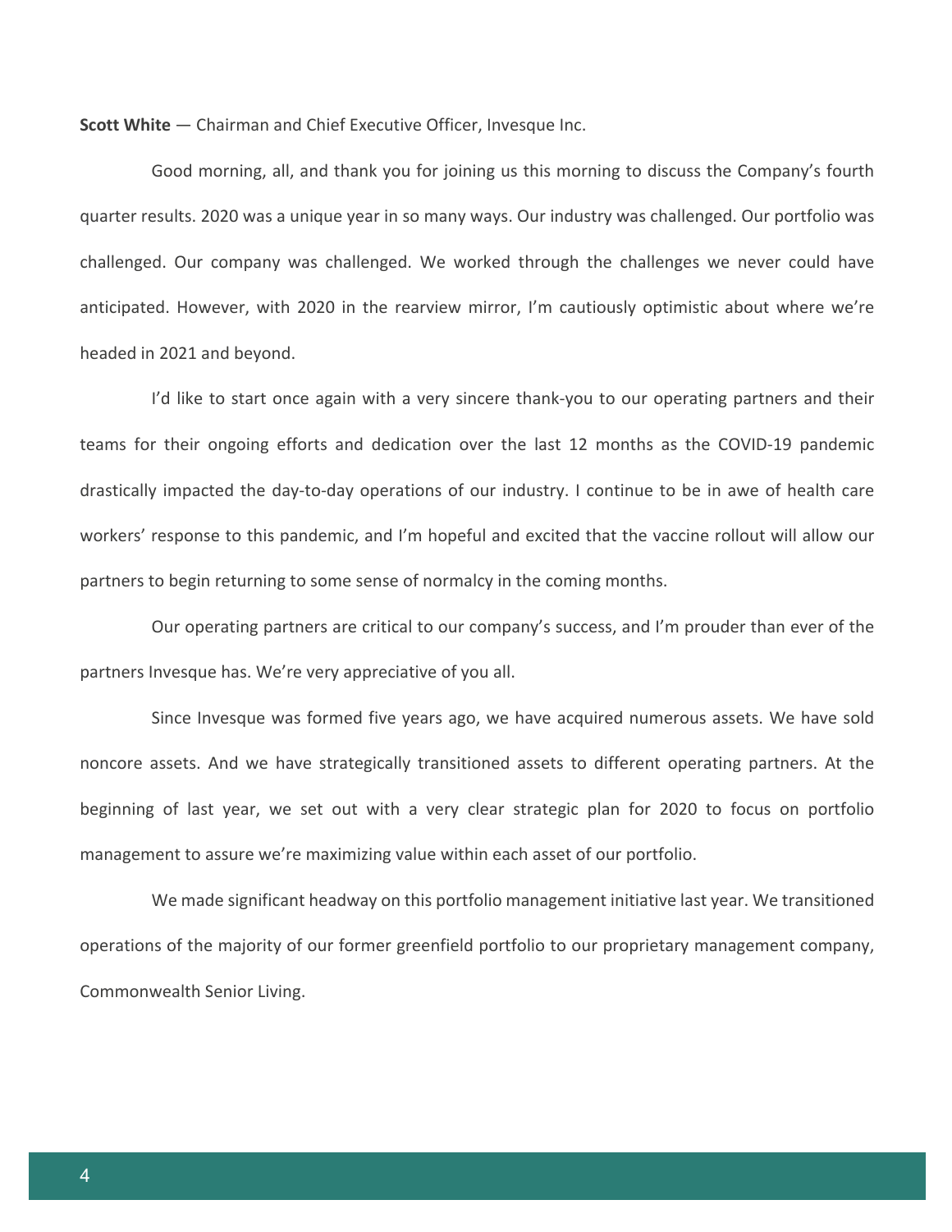**Scott White** — Chairman and Chief Executive Officer, Invesque Inc.

Good morning, all, and thank you for joining us this morning to discuss the Company's fourth quarter results. 2020 was a unique year in so many ways. Our industry was challenged. Our portfolio was challenged. Our company was challenged. We worked through the challenges we never could have anticipated. However, with 2020 in the rearview mirror, I'm cautiously optimistic about where we're headed in 2021 and beyond.

I'd like to start once again with a very sincere thank-you to our operating partners and their teams for their ongoing efforts and dedication over the last 12 months as the COVID-19 pandemic drastically impacted the day-to-day operations of our industry. I continue to be in awe of health care workers' response to this pandemic, and I'm hopeful and excited that the vaccine rollout will allow our partners to begin returning to some sense of normalcy in the coming months.

Our operating partners are critical to our company's success, and I'm prouder than ever of the partners Invesque has. We're very appreciative of you all.

Since Invesque was formed five years ago, we have acquired numerous assets. We have sold noncore assets. And we have strategically transitioned assets to different operating partners. At the beginning of last year, we set out with a very clear strategic plan for 2020 to focus on portfolio management to assure we're maximizing value within each asset of our portfolio.

We made significant headway on this portfolio management initiative last year. We transitioned operations of the majority of our former greenfield portfolio to our proprietary management company, Commonwealth Senior Living.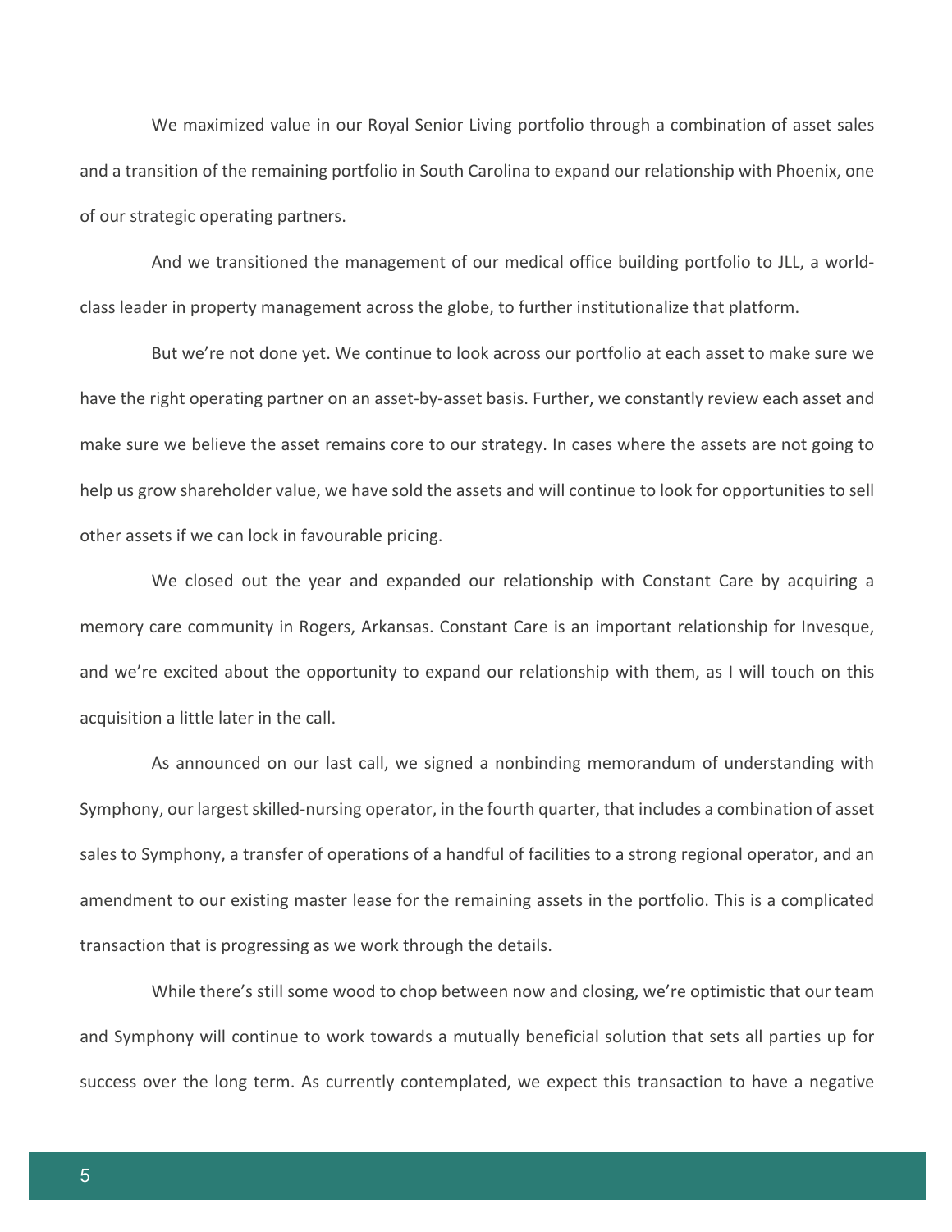We maximized value in our Royal Senior Living portfolio through a combination of asset sales and a transition of the remaining portfolio in South Carolina to expand our relationship with Phoenix, one of our strategic operating partners.

And we transitioned the management of our medical office building portfolio to JLL, a worldclass leader in property management across the globe, to further institutionalize that platform.

But we're not done yet. We continue to look across our portfolio at each asset to make sure we have the right operating partner on an asset-by-asset basis. Further, we constantly review each asset and make sure we believe the asset remains core to our strategy. In cases where the assets are not going to help us grow shareholder value, we have sold the assets and will continue to look for opportunities to sell other assets if we can lock in favourable pricing.

We closed out the year and expanded our relationship with Constant Care by acquiring a memory care community in Rogers, Arkansas. Constant Care is an important relationship for Invesque, and we're excited about the opportunity to expand our relationship with them, as I will touch on this acquisition a little later in the call.

As announced on our last call, we signed a nonbinding memorandum of understanding with Symphony, our largest skilled-nursing operator, in the fourth quarter, that includes a combination of asset sales to Symphony, a transfer of operations of a handful of facilities to a strong regional operator, and an amendment to our existing master lease for the remaining assets in the portfolio. This is a complicated transaction that is progressing as we work through the details.

While there's still some wood to chop between now and closing, we're optimistic that our team and Symphony will continue to work towards a mutually beneficial solution that sets all parties up for success over the long term. As currently contemplated, we expect this transaction to have a negative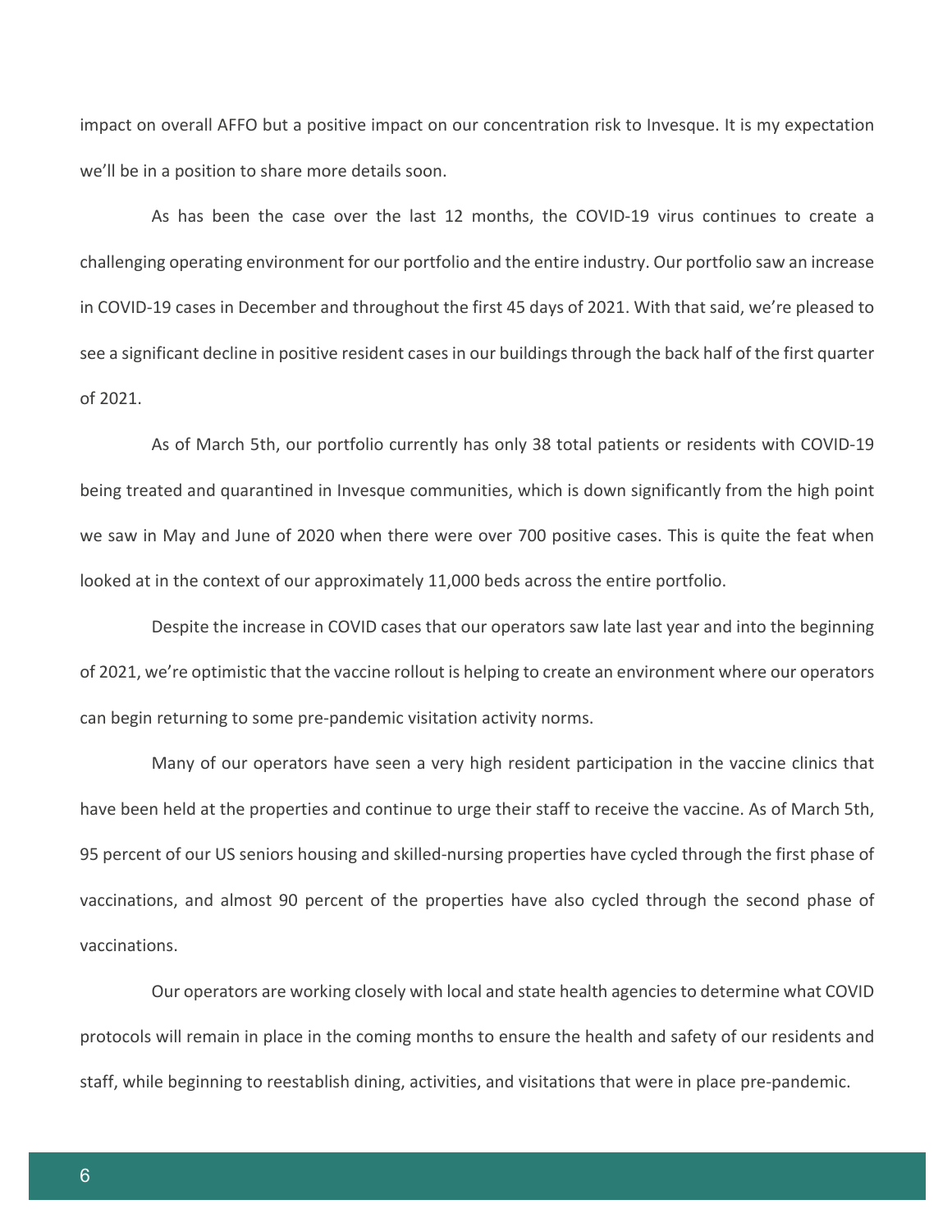impact on overall AFFO but a positive impact on our concentration risk to Invesque. It is my expectation we'll be in a position to share more details soon.

As has been the case over the last 12 months, the COVID-19 virus continues to create a challenging operating environment for our portfolio and the entire industry. Our portfolio saw an increase in COVID-19 cases in December and throughout the first 45 days of 2021. With that said, we're pleased to see a significant decline in positive resident cases in our buildings through the back half of the first quarter of 2021.

As of March 5th, our portfolio currently has only 38 total patients or residents with COVID-19 being treated and quarantined in Invesque communities, which is down significantly from the high point we saw in May and June of 2020 when there were over 700 positive cases. This is quite the feat when looked at in the context of our approximately 11,000 beds across the entire portfolio.

Despite the increase in COVID cases that our operators saw late last year and into the beginning of 2021, we're optimistic that the vaccine rollout is helping to create an environment where our operators can begin returning to some pre-pandemic visitation activity norms.

Many of our operators have seen a very high resident participation in the vaccine clinics that have been held at the properties and continue to urge their staff to receive the vaccine. As of March 5th, 95 percent of our US seniors housing and skilled-nursing properties have cycled through the first phase of vaccinations, and almost 90 percent of the properties have also cycled through the second phase of vaccinations.

Our operators are working closely with local and state health agencies to determine what COVID protocols will remain in place in the coming months to ensure the health and safety of our residents and staff, while beginning to reestablish dining, activities, and visitations that were in place pre-pandemic.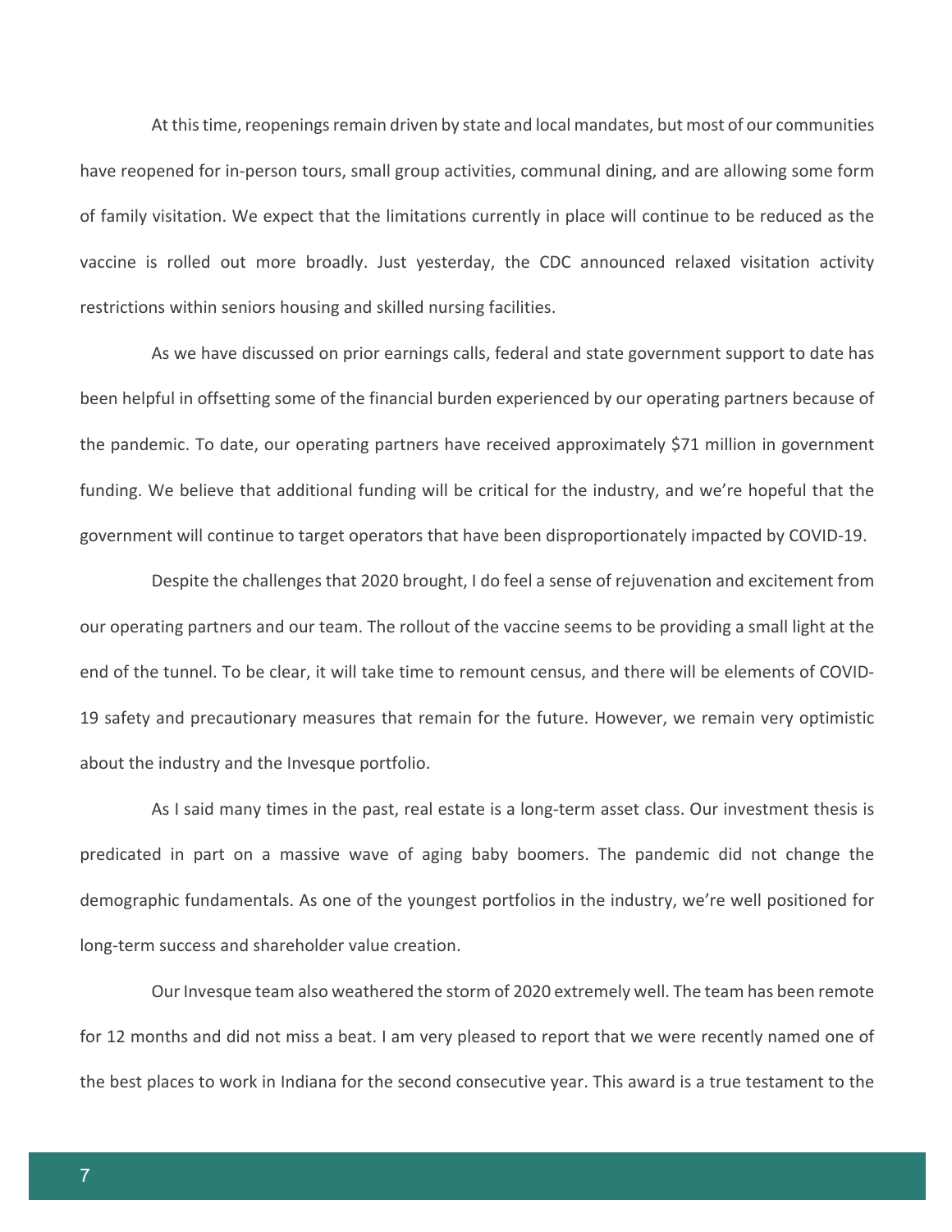At this time, reopenings remain driven by state and local mandates, but most of our communities have reopened for in-person tours, small group activities, communal dining, and are allowing some form of family visitation. We expect that the limitations currently in place will continue to be reduced as the vaccine is rolled out more broadly. Just yesterday, the CDC announced relaxed visitation activity restrictions within seniors housing and skilled nursing facilities.

As we have discussed on prior earnings calls, federal and state government support to date has been helpful in offsetting some of the financial burden experienced by our operating partners because of the pandemic. To date, our operating partners have received approximately \$71 million in government funding. We believe that additional funding will be critical for the industry, and we're hopeful that the government will continue to target operators that have been disproportionately impacted by COVID-19.

Despite the challenges that 2020 brought, I do feel a sense of rejuvenation and excitement from our operating partners and our team. The rollout of the vaccine seems to be providing a small light at the end of the tunnel. To be clear, it will take time to remount census, and there will be elements of COVID-19 safety and precautionary measures that remain for the future. However, we remain very optimistic about the industry and the Invesque portfolio.

As I said many times in the past, real estate is a long-term asset class. Our investment thesis is predicated in part on a massive wave of aging baby boomers. The pandemic did not change the demographic fundamentals. As one of the youngest portfolios in the industry, we're well positioned for long-term success and shareholder value creation.

Our Invesque team also weathered the storm of 2020 extremely well. The team has been remote for 12 months and did not miss a beat. I am very pleased to report that we were recently named one of the best places to work in Indiana for the second consecutive year. This award is a true testament to the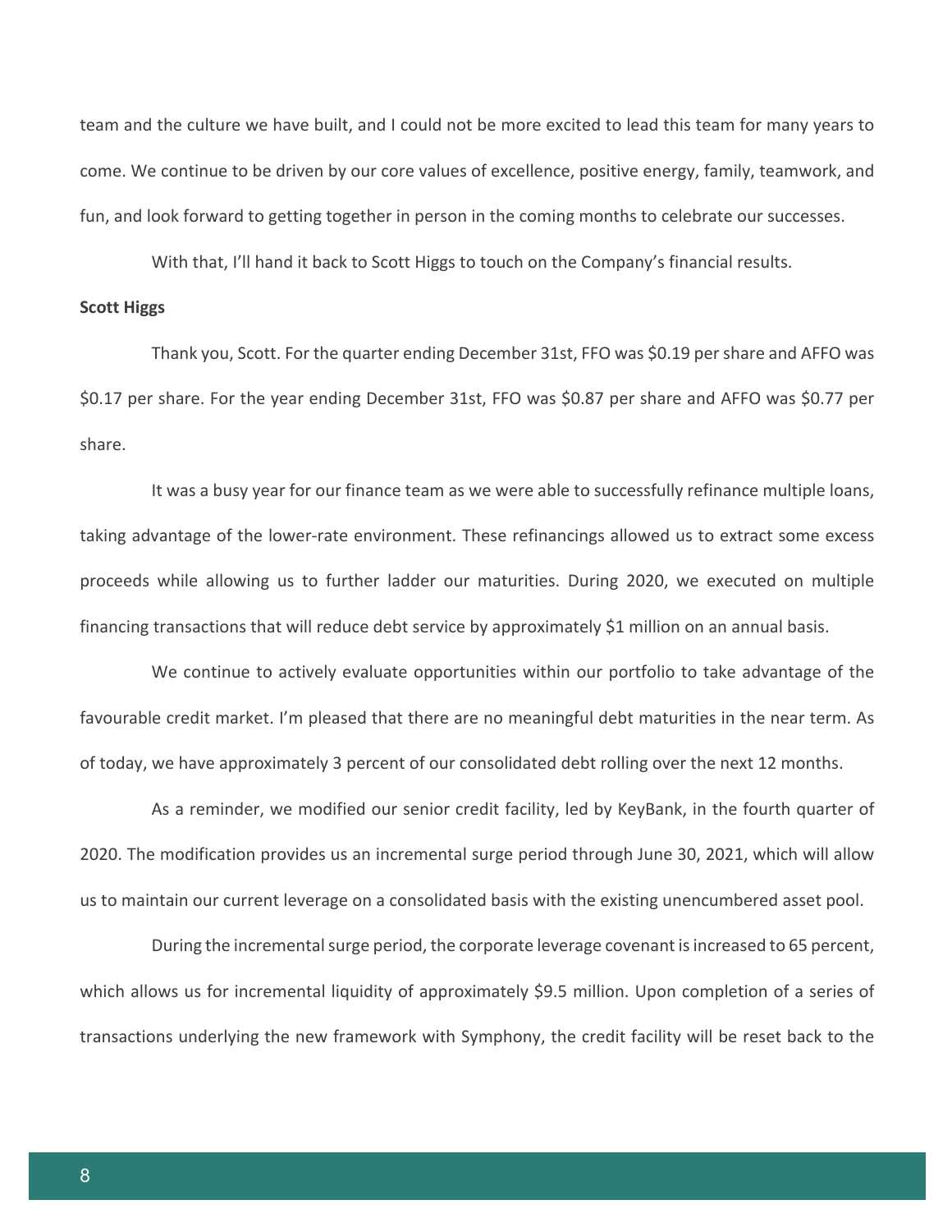team and the culture we have built, and I could not be more excited to lead this team for many years to come. We continue to be driven by our core values of excellence, positive energy, family, teamwork, and fun, and look forward to getting together in person in the coming months to celebrate our successes.

With that, I'll hand it back to Scott Higgs to touch on the Company's financial results.

## **Scott Higgs**

Thank you, Scott. For the quarter ending December 31st, FFO was \$0.19 per share and AFFO was \$0.17 per share. For the year ending December 31st, FFO was \$0.87 per share and AFFO was \$0.77 per share.

It was a busy year for our finance team as we were able to successfully refinance multiple loans, taking advantage of the lower-rate environment. These refinancings allowed us to extract some excess proceeds while allowing us to further ladder our maturities. During 2020, we executed on multiple financing transactions that will reduce debt service by approximately \$1 million on an annual basis.

We continue to actively evaluate opportunities within our portfolio to take advantage of the favourable credit market. I'm pleased that there are no meaningful debt maturities in the near term. As of today, we have approximately 3 percent of our consolidated debt rolling over the next 12 months.

As a reminder, we modified our senior credit facility, led by KeyBank, in the fourth quarter of 2020. The modification provides us an incremental surge period through June 30, 2021, which will allow us to maintain our current leverage on a consolidated basis with the existing unencumbered asset pool.

During the incremental surge period, the corporate leverage covenant is increased to 65 percent, which allows us for incremental liquidity of approximately \$9.5 million. Upon completion of a series of transactions underlying the new framework with Symphony, the credit facility will be reset back to the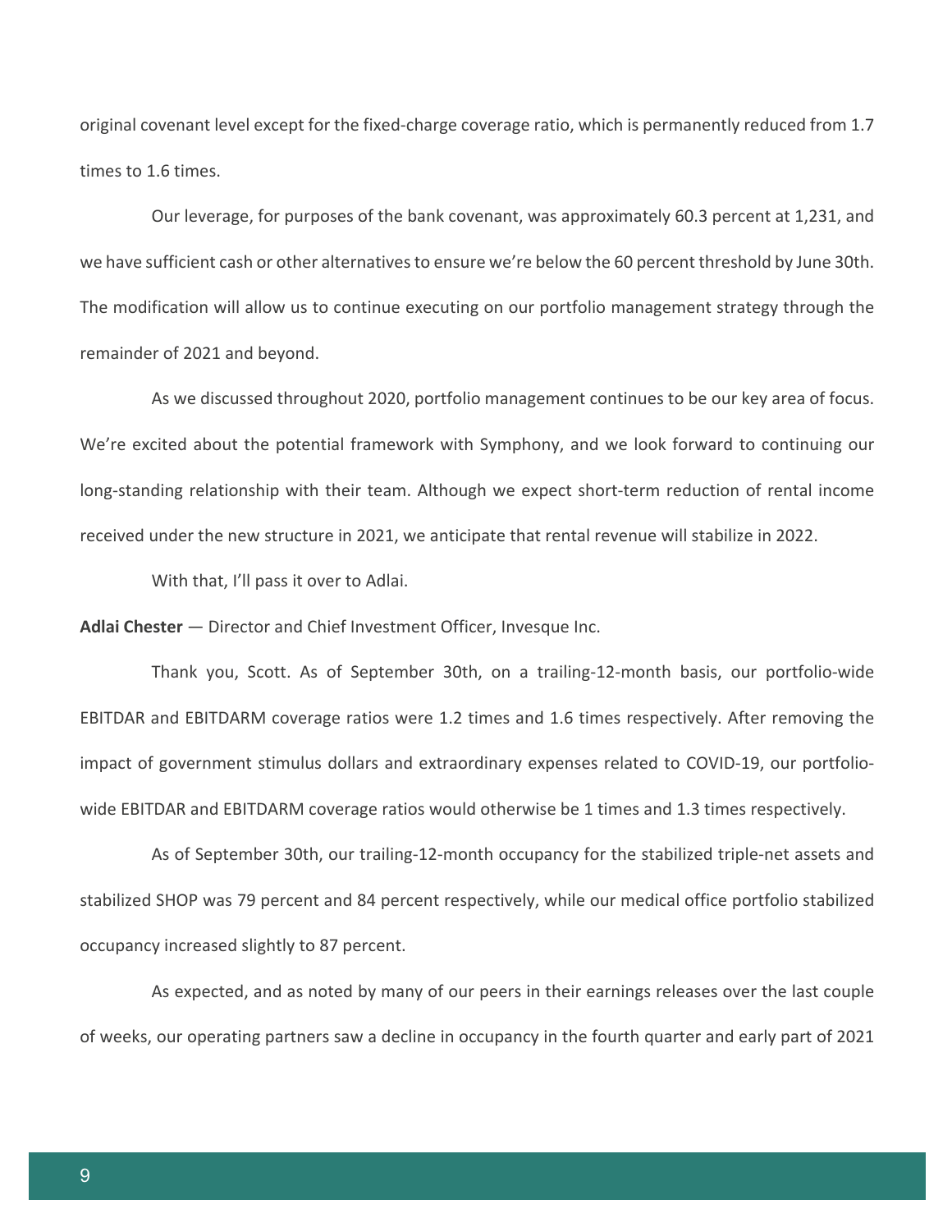original covenant level except for the fixed-charge coverage ratio, which is permanently reduced from 1.7 times to 1.6 times.

Our leverage, for purposes of the bank covenant, was approximately 60.3 percent at 1,231, and we have sufficient cash or other alternatives to ensure we're below the 60 percent threshold by June 30th. The modification will allow us to continue executing on our portfolio management strategy through the remainder of 2021 and beyond.

As we discussed throughout 2020, portfolio management continues to be our key area of focus. We're excited about the potential framework with Symphony, and we look forward to continuing our long-standing relationship with their team. Although we expect short-term reduction of rental income received under the new structure in 2021, we anticipate that rental revenue will stabilize in 2022.

With that, I'll pass it over to Adlai.

**Adlai Chester** — Director and Chief Investment Officer, Invesque Inc.

Thank you, Scott. As of September 30th, on a trailing-12-month basis, our portfolio-wide EBITDAR and EBITDARM coverage ratios were 1.2 times and 1.6 times respectively. After removing the impact of government stimulus dollars and extraordinary expenses related to COVID-19, our portfoliowide EBITDAR and EBITDARM coverage ratios would otherwise be 1 times and 1.3 times respectively.

As of September 30th, our trailing-12-month occupancy for the stabilized triple-net assets and stabilized SHOP was 79 percent and 84 percent respectively, while our medical office portfolio stabilized occupancy increased slightly to 87 percent.

As expected, and as noted by many of our peers in their earnings releases over the last couple of weeks, our operating partners saw a decline in occupancy in the fourth quarter and early part of 2021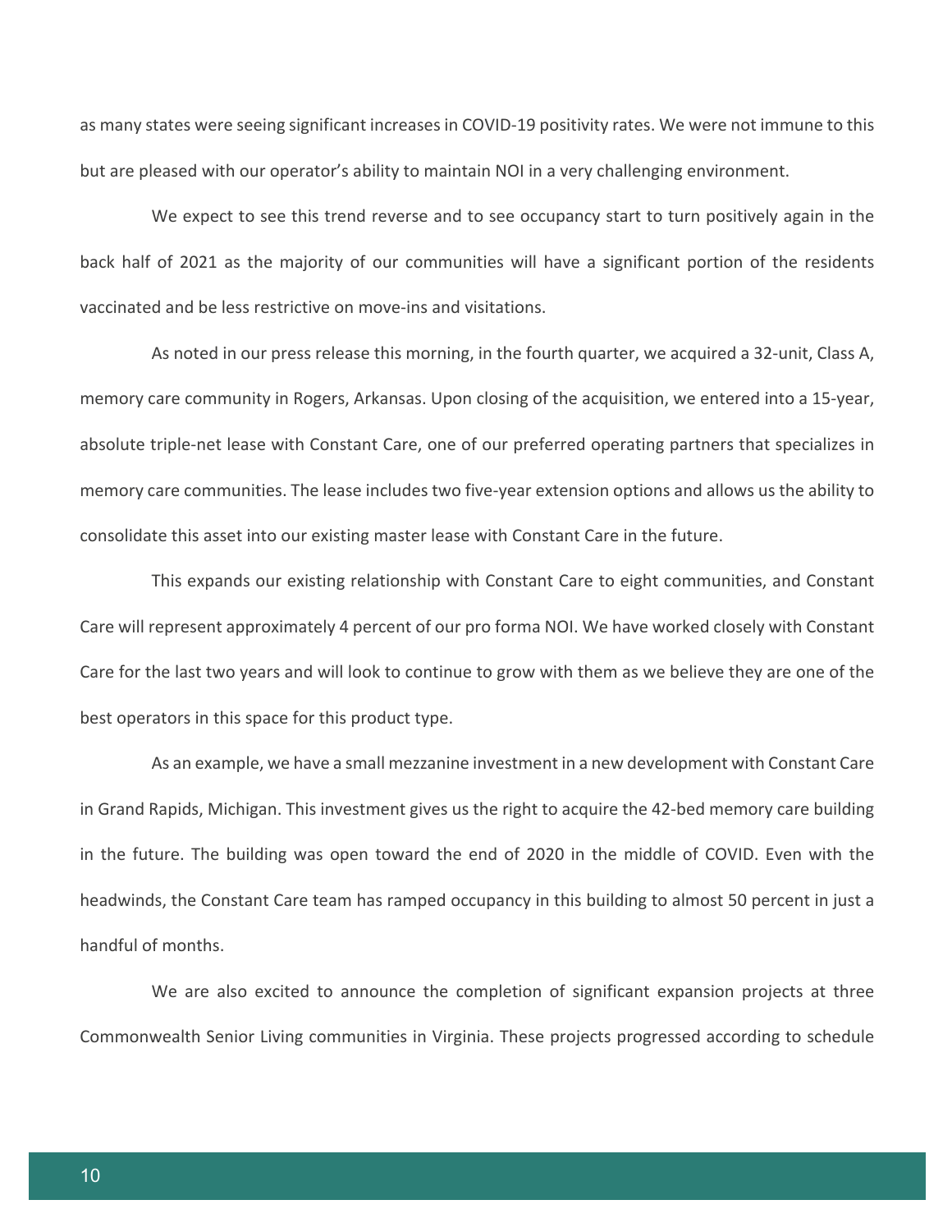as many states were seeing significant increases in COVID-19 positivity rates. We were not immune to this but are pleased with our operator's ability to maintain NOI in a very challenging environment.

We expect to see this trend reverse and to see occupancy start to turn positively again in the back half of 2021 as the majority of our communities will have a significant portion of the residents vaccinated and be less restrictive on move-ins and visitations.

As noted in our press release this morning, in the fourth quarter, we acquired a 32-unit, Class A, memory care community in Rogers, Arkansas. Upon closing of the acquisition, we entered into a 15-year, absolute triple-net lease with Constant Care, one of our preferred operating partners that specializes in memory care communities. The lease includes two five-year extension options and allows us the ability to consolidate this asset into our existing master lease with Constant Care in the future.

This expands our existing relationship with Constant Care to eight communities, and Constant Care will represent approximately 4 percent of our pro forma NOI. We have worked closely with Constant Care for the last two years and will look to continue to grow with them as we believe they are one of the best operators in this space for this product type.

As an example, we have a small mezzanine investment in a new development with Constant Care in Grand Rapids, Michigan. This investment gives us the right to acquire the 42-bed memory care building in the future. The building was open toward the end of 2020 in the middle of COVID. Even with the headwinds, the Constant Care team has ramped occupancy in this building to almost 50 percent in just a handful of months.

We are also excited to announce the completion of significant expansion projects at three Commonwealth Senior Living communities in Virginia. These projects progressed according to schedule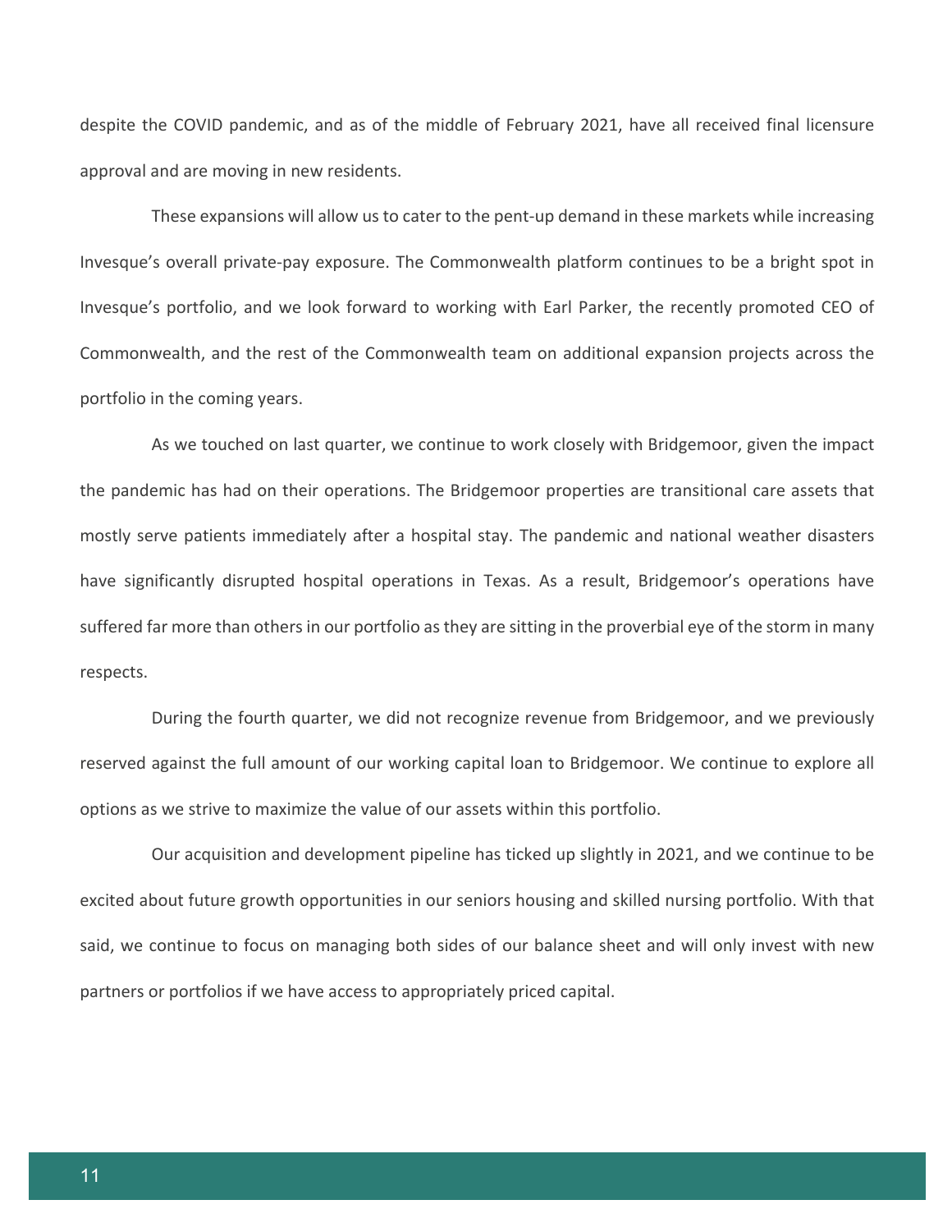despite the COVID pandemic, and as of the middle of February 2021, have all received final licensure approval and are moving in new residents.

These expansions will allow us to cater to the pent-up demand in these markets while increasing Invesque's overall private-pay exposure. The Commonwealth platform continues to be a bright spot in Invesque's portfolio, and we look forward to working with Earl Parker, the recently promoted CEO of Commonwealth, and the rest of the Commonwealth team on additional expansion projects across the portfolio in the coming years.

As we touched on last quarter, we continue to work closely with Bridgemoor, given the impact the pandemic has had on their operations. The Bridgemoor properties are transitional care assets that mostly serve patients immediately after a hospital stay. The pandemic and national weather disasters have significantly disrupted hospital operations in Texas. As a result, Bridgemoor's operations have suffered far more than others in our portfolio as they are sitting in the proverbial eye of the storm in many respects.

During the fourth quarter, we did not recognize revenue from Bridgemoor, and we previously reserved against the full amount of our working capital loan to Bridgemoor. We continue to explore all options as we strive to maximize the value of our assets within this portfolio.

Our acquisition and development pipeline has ticked up slightly in 2021, and we continue to be excited about future growth opportunities in our seniors housing and skilled nursing portfolio. With that said, we continue to focus on managing both sides of our balance sheet and will only invest with new partners or portfolios if we have access to appropriately priced capital.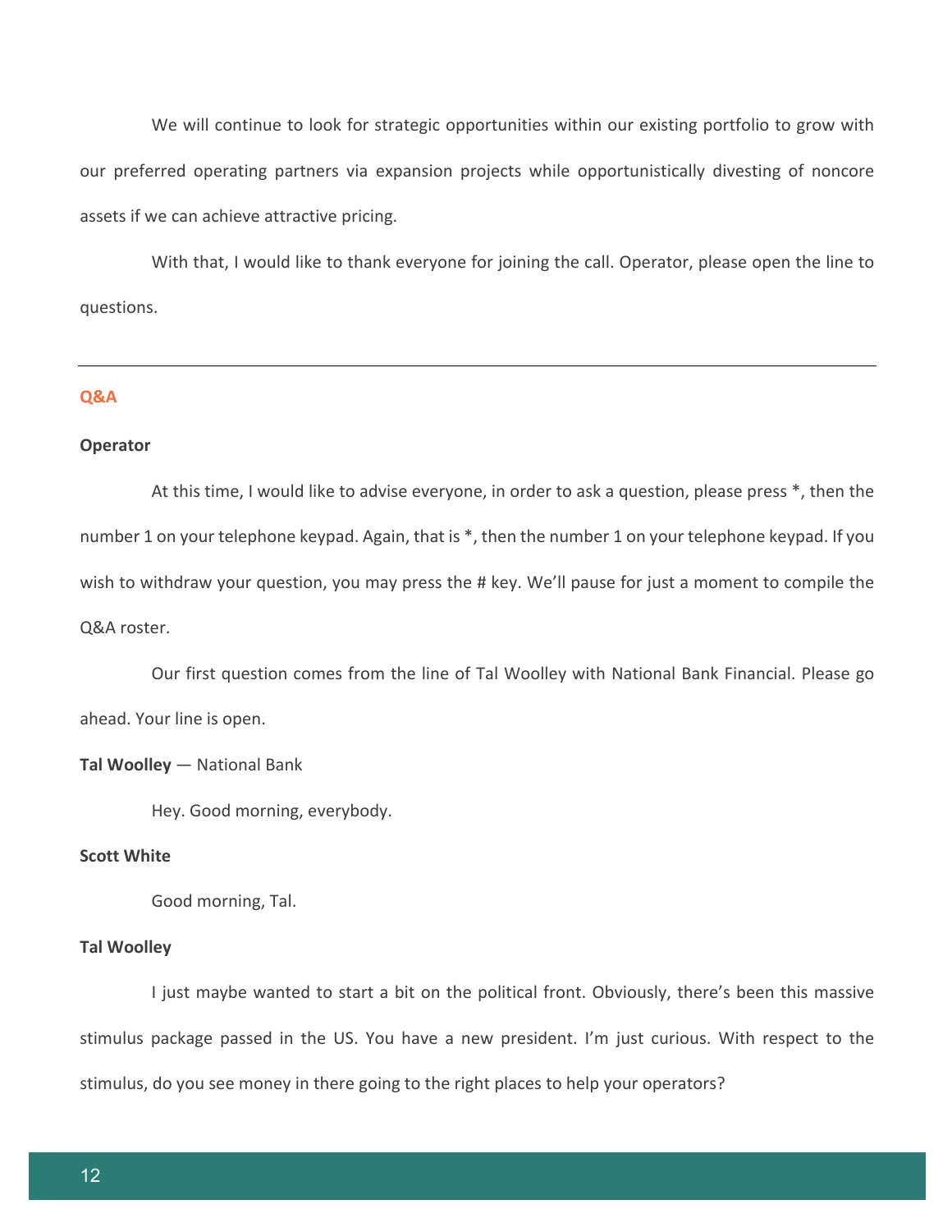We will continue to look for strategic opportunities within our existing portfolio to grow with our preferred operating partners via expansion projects while opportunistically divesting of noncore assets if we can achieve attractive pricing.

With that, I would like to thank everyone for joining the call. Operator, please open the line to questions.

#### **Q&A**

#### **Operator**

At this time, I would like to advise everyone, in order to ask a question, please press \*, then the number 1 on your telephone keypad. Again, that is \*, then the number 1 on your telephone keypad. If you wish to withdraw your question, you may press the # key. We'll pause for just a moment to compile the Q&A roster.

Our first question comes from the line of Tal Woolley with National Bank Financial. Please go ahead. Your line is open.

## **Tal Woolley** — National Bank

Hey. Good morning, everybody.

# **Scott White**

Good morning, Tal.

## **Tal Woolley**

I just maybe wanted to start a bit on the political front. Obviously, there's been this massive stimulus package passed in the US. You have a new president. I'm just curious. With respect to the stimulus, do you see money in there going to the right places to help your operators?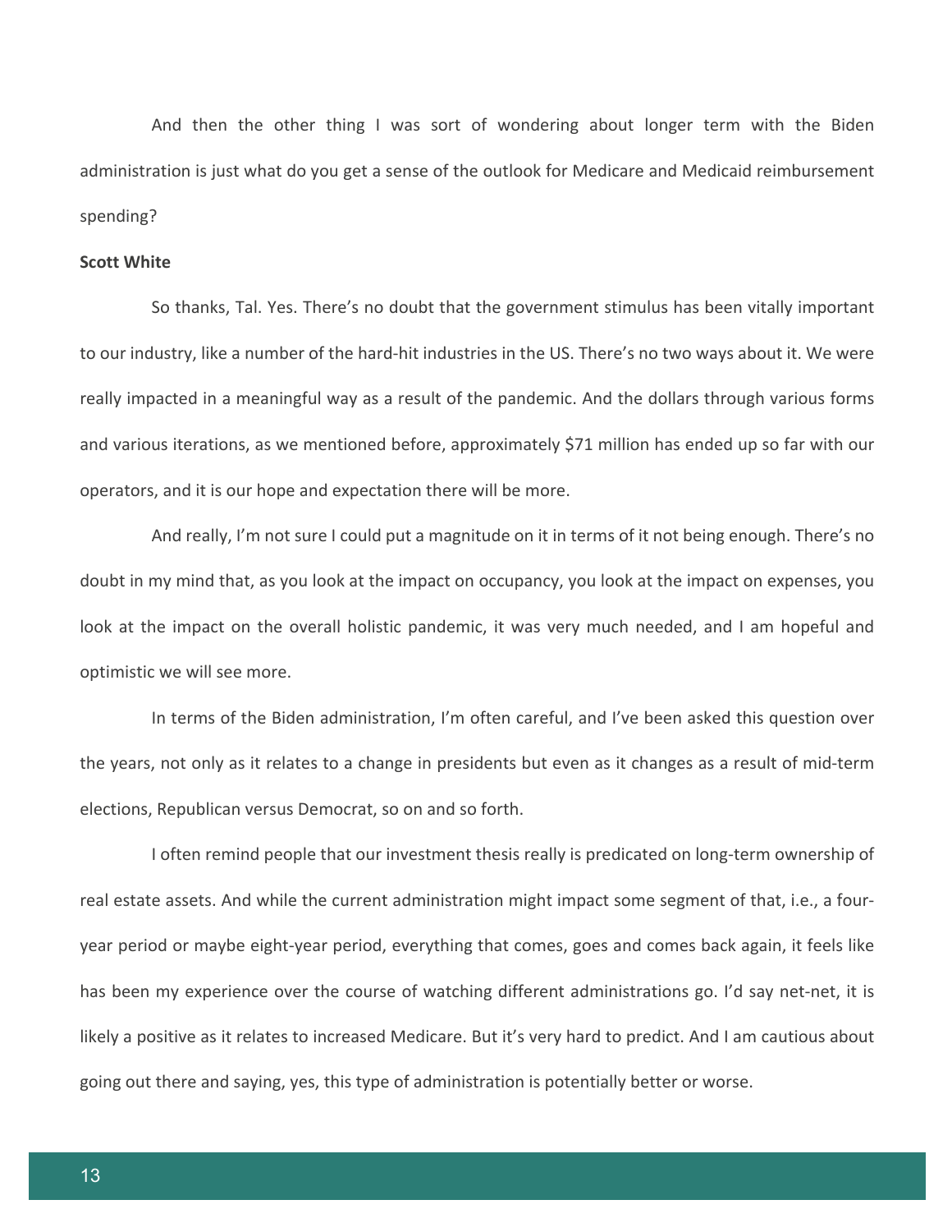And then the other thing I was sort of wondering about longer term with the Biden administration is just what do you get a sense of the outlook for Medicare and Medicaid reimbursement spending?

#### **Scott White**

So thanks, Tal. Yes. There's no doubt that the government stimulus has been vitally important to our industry, like a number of the hard-hit industries in the US. There's no two ways about it. We were really impacted in a meaningful way as a result of the pandemic. And the dollars through various forms and various iterations, as we mentioned before, approximately \$71 million has ended up so far with our operators, and it is our hope and expectation there will be more.

And really, I'm not sure I could put a magnitude on it in terms of it not being enough. There's no doubt in my mind that, as you look at the impact on occupancy, you look at the impact on expenses, you look at the impact on the overall holistic pandemic, it was very much needed, and I am hopeful and optimistic we will see more.

In terms of the Biden administration, I'm often careful, and I've been asked this question over the years, not only as it relates to a change in presidents but even as it changes as a result of mid-term elections, Republican versus Democrat, so on and so forth.

I often remind people that our investment thesis really is predicated on long-term ownership of real estate assets. And while the current administration might impact some segment of that, i.e., a fouryear period or maybe eight-year period, everything that comes, goes and comes back again, it feels like has been my experience over the course of watching different administrations go. I'd say net-net, it is likely a positive as it relates to increased Medicare. But it's very hard to predict. And I am cautious about going out there and saying, yes, this type of administration is potentially better or worse.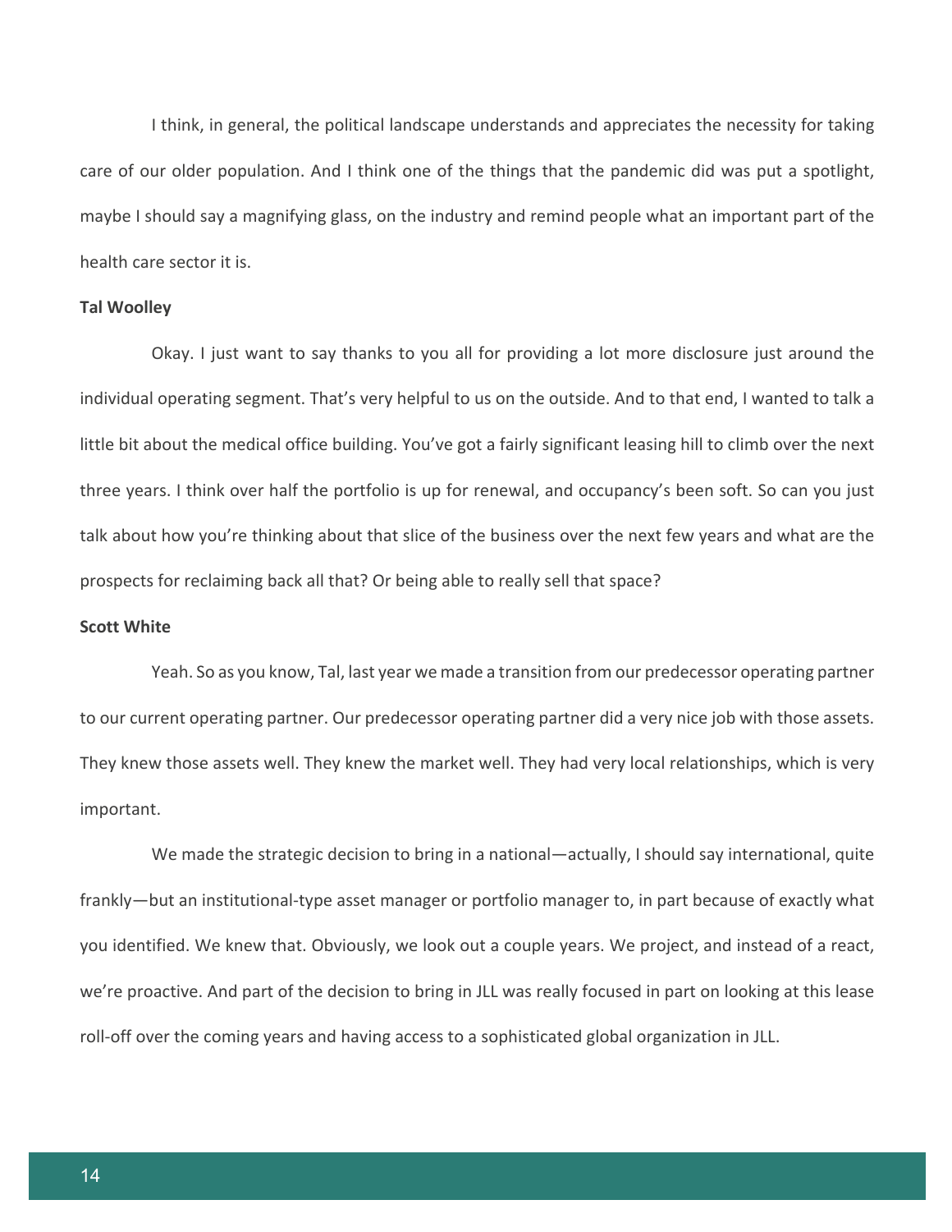I think, in general, the political landscape understands and appreciates the necessity for taking care of our older population. And I think one of the things that the pandemic did was put a spotlight, maybe I should say a magnifying glass, on the industry and remind people what an important part of the health care sector it is.

## **Tal Woolley**

Okay. I just want to say thanks to you all for providing a lot more disclosure just around the individual operating segment. That's very helpful to us on the outside. And to that end, I wanted to talk a little bit about the medical office building. You've got a fairly significant leasing hill to climb over the next three years. I think over half the portfolio is up for renewal, and occupancy's been soft. So can you just talk about how you're thinking about that slice of the business over the next few years and what are the prospects for reclaiming back all that? Or being able to really sell that space?

# **Scott White**

Yeah. So as you know, Tal, last year we made a transition from our predecessor operating partner to our current operating partner. Our predecessor operating partner did a very nice job with those assets. They knew those assets well. They knew the market well. They had very local relationships, which is very important.

We made the strategic decision to bring in a national—actually, I should say international, quite frankly—but an institutional-type asset manager or portfolio manager to, in part because of exactly what you identified. We knew that. Obviously, we look out a couple years. We project, and instead of a react, we're proactive. And part of the decision to bring in JLL was really focused in part on looking at this lease roll-off over the coming years and having access to a sophisticated global organization in JLL.

14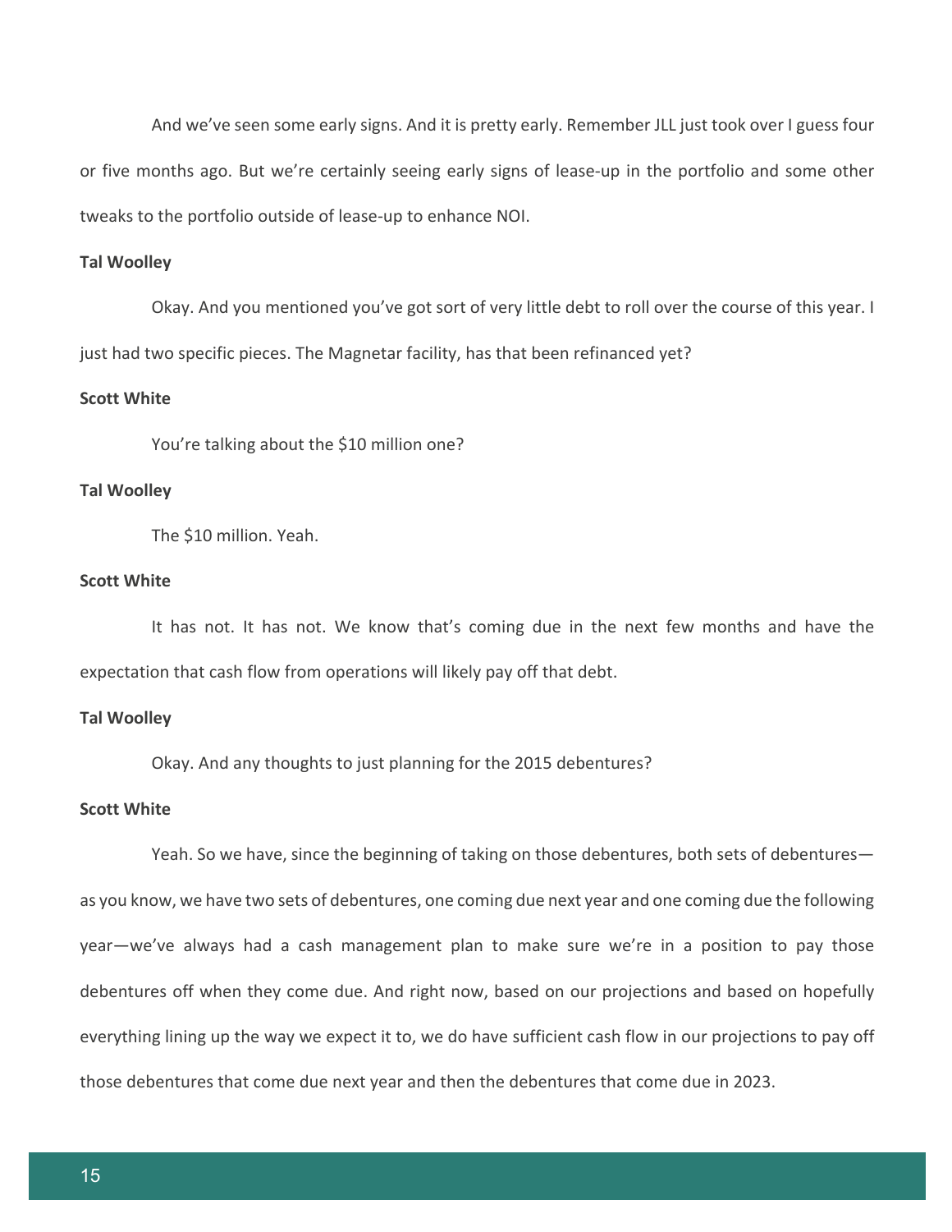And we've seen some early signs. And it is pretty early. Remember JLL just took over I guess four or five months ago. But we're certainly seeing early signs of lease-up in the portfolio and some other tweaks to the portfolio outside of lease-up to enhance NOI.

#### **Tal Woolley**

Okay. And you mentioned you've got sort of very little debt to roll over the course of this year. I just had two specific pieces. The Magnetar facility, has that been refinanced yet?

## **Scott White**

You're talking about the \$10 million one?

## **Tal Woolley**

The \$10 million. Yeah.

## **Scott White**

It has not. It has not. We know that's coming due in the next few months and have the expectation that cash flow from operations will likely pay off that debt.

## **Tal Woolley**

Okay. And any thoughts to just planning for the 2015 debentures?

## **Scott White**

Yeah. So we have, since the beginning of taking on those debentures, both sets of debentures as you know, we have two sets of debentures, one coming due next year and one coming due the following year—we've always had a cash management plan to make sure we're in a position to pay those debentures off when they come due. And right now, based on our projections and based on hopefully everything lining up the way we expect it to, we do have sufficient cash flow in our projections to pay off those debentures that come due next year and then the debentures that come due in 2023.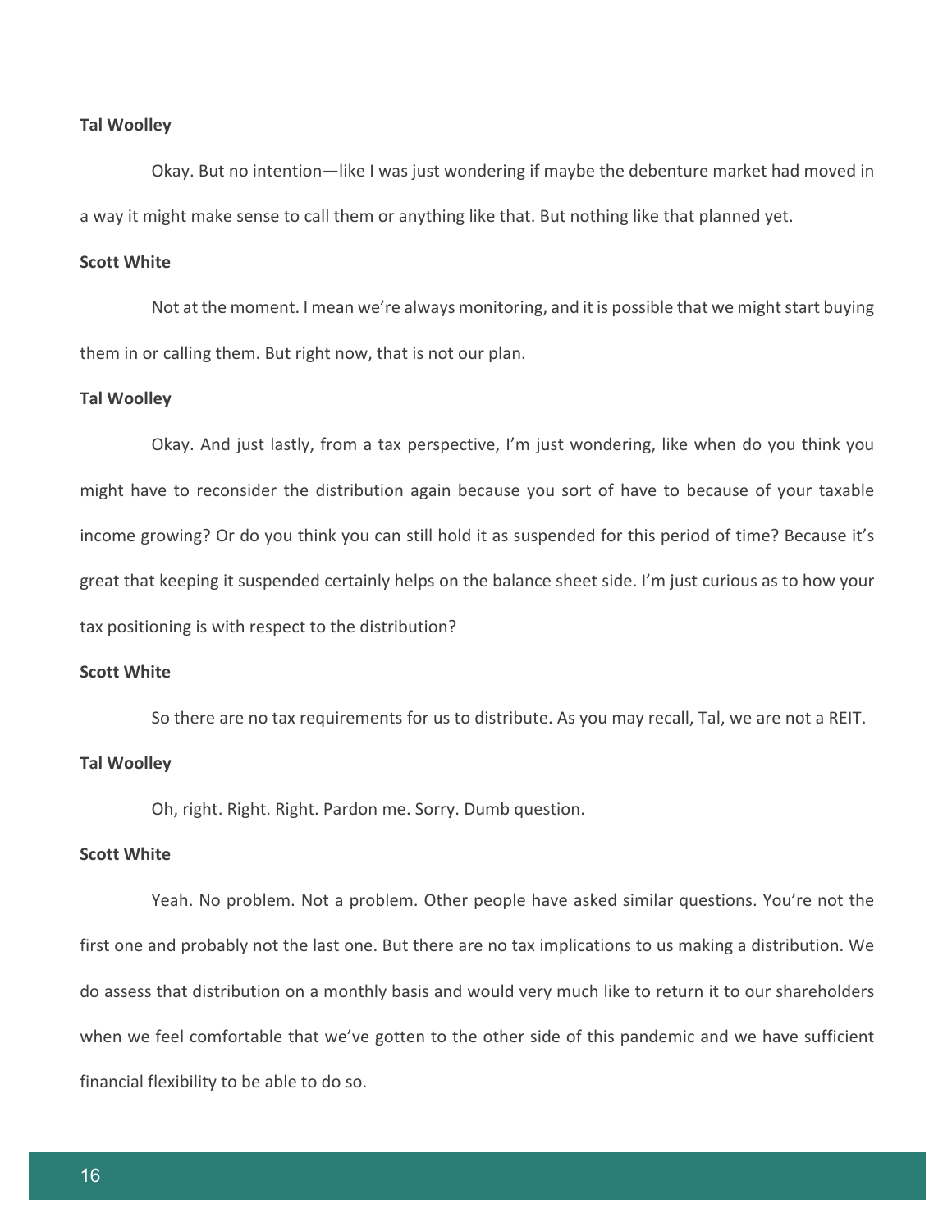#### **Tal Woolley**

Okay. But no intention—like I was just wondering if maybe the debenture market had moved in a way it might make sense to call them or anything like that. But nothing like that planned yet.

## **Scott White**

Not at the moment. I mean we're always monitoring, and it is possible that we might start buying them in or calling them. But right now, that is not our plan.

#### **Tal Woolley**

Okay. And just lastly, from a tax perspective, I'm just wondering, like when do you think you might have to reconsider the distribution again because you sort of have to because of your taxable income growing? Or do you think you can still hold it as suspended for this period of time? Because it's great that keeping it suspended certainly helps on the balance sheet side. I'm just curious as to how your tax positioning is with respect to the distribution?

### **Scott White**

So there are no tax requirements for us to distribute. As you may recall, Tal, we are not a REIT.

## **Tal Woolley**

Oh, right. Right. Right. Pardon me. Sorry. Dumb question.

## **Scott White**

Yeah. No problem. Not a problem. Other people have asked similar questions. You're not the first one and probably not the last one. But there are no tax implications to us making a distribution. We do assess that distribution on a monthly basis and would very much like to return it to our shareholders when we feel comfortable that we've gotten to the other side of this pandemic and we have sufficient financial flexibility to be able to do so.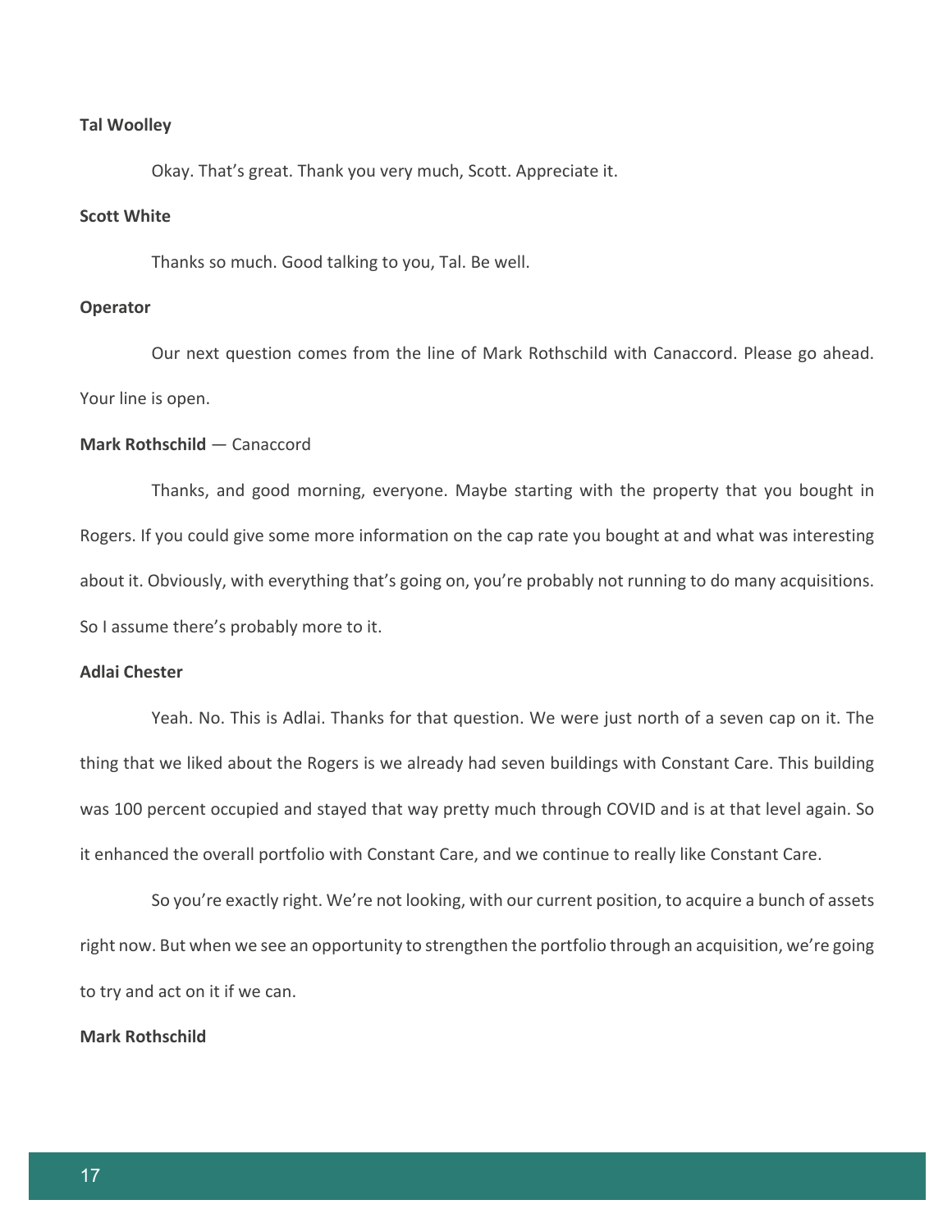#### **Tal Woolley**

Okay. That's great. Thank you very much, Scott. Appreciate it.

# **Scott White**

Thanks so much. Good talking to you, Tal. Be well.

## **Operator**

Our next question comes from the line of Mark Rothschild with Canaccord. Please go ahead. Your line is open.

## **Mark Rothschild** — Canaccord

Thanks, and good morning, everyone. Maybe starting with the property that you bought in Rogers. If you could give some more information on the cap rate you bought at and what was interesting about it. Obviously, with everything that's going on, you're probably not running to do many acquisitions. So I assume there's probably more to it.

# **Adlai Chester**

Yeah. No. This is Adlai. Thanks for that question. We were just north of a seven cap on it. The thing that we liked about the Rogers is we already had seven buildings with Constant Care. This building was 100 percent occupied and stayed that way pretty much through COVID and is at that level again. So it enhanced the overall portfolio with Constant Care, and we continue to really like Constant Care.

So you're exactly right. We're not looking, with our current position, to acquire a bunch of assets right now. But when we see an opportunity to strengthen the portfolio through an acquisition, we're going to try and act on it if we can.

## **Mark Rothschild**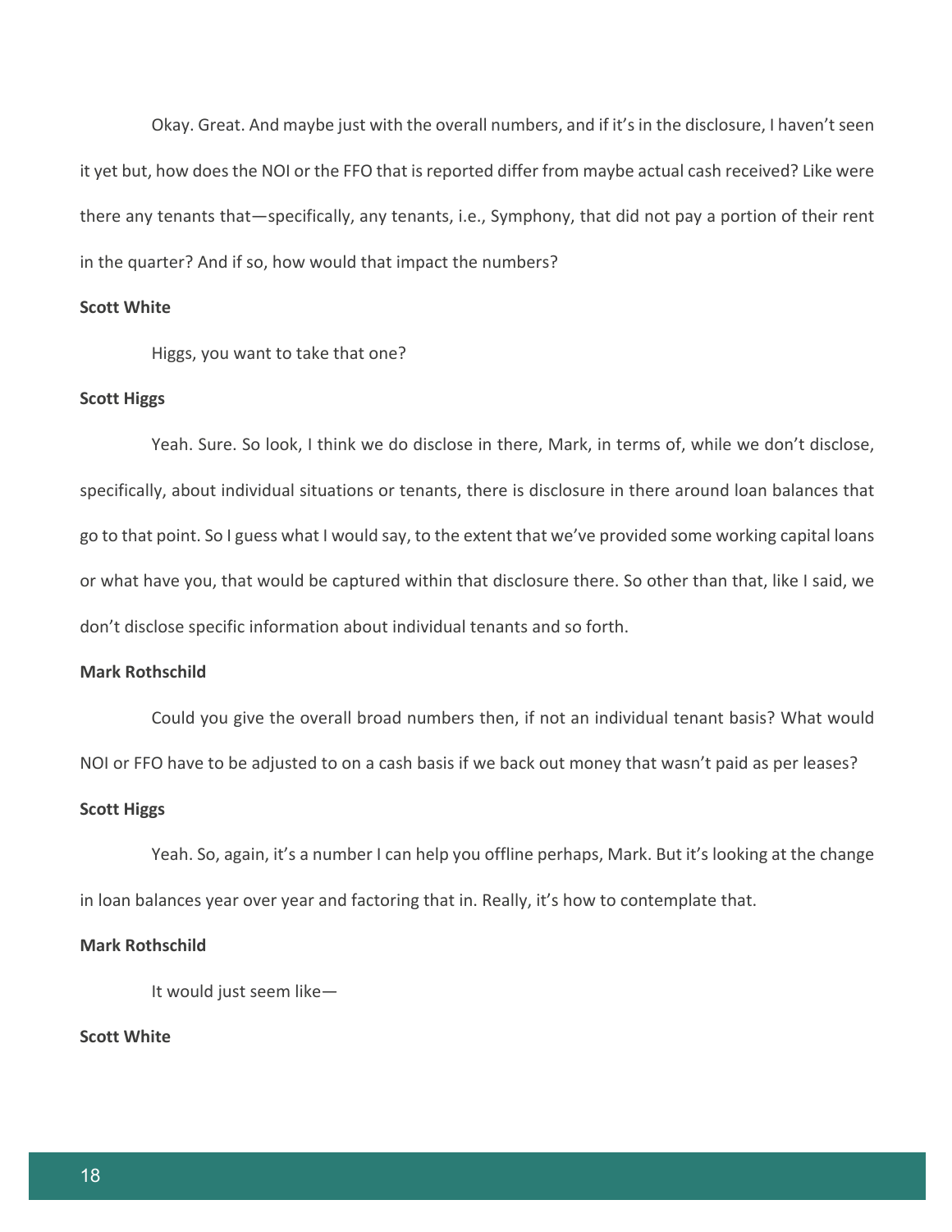Okay. Great. And maybe just with the overall numbers, and if it's in the disclosure, I haven't seen it yet but, how does the NOI or the FFO that is reported differ from maybe actual cash received? Like were there any tenants that—specifically, any tenants, i.e., Symphony, that did not pay a portion of their rent in the quarter? And if so, how would that impact the numbers?

# **Scott White**

Higgs, you want to take that one?

#### **Scott Higgs**

Yeah. Sure. So look, I think we do disclose in there, Mark, in terms of, while we don't disclose, specifically, about individual situations or tenants, there is disclosure in there around loan balances that go to that point. So I guess what I would say, to the extent that we've provided some working capital loans or what have you, that would be captured within that disclosure there. So other than that, like I said, we don't disclose specific information about individual tenants and so forth.

## **Mark Rothschild**

Could you give the overall broad numbers then, if not an individual tenant basis? What would NOI or FFO have to be adjusted to on a cash basis if we back out money that wasn't paid as per leases?

#### **Scott Higgs**

Yeah. So, again, it's a number I can help you offline perhaps, Mark. But it's looking at the change in loan balances year over year and factoring that in. Really, it's how to contemplate that.

## **Mark Rothschild**

It would just seem like—

# **Scott White**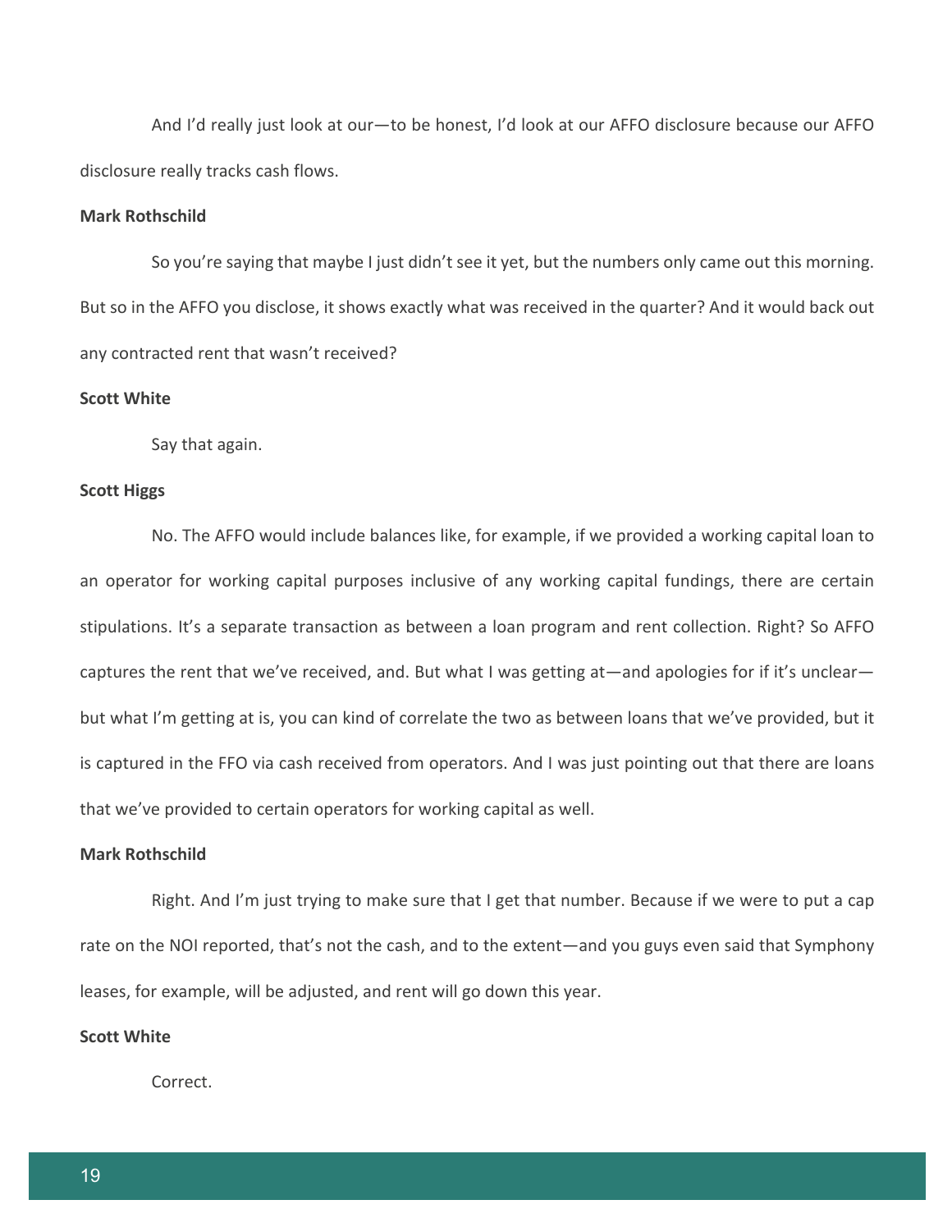And I'd really just look at our—to be honest, I'd look at our AFFO disclosure because our AFFO disclosure really tracks cash flows.

# **Mark Rothschild**

So you're saying that maybe I just didn't see it yet, but the numbers only came out this morning. But so in the AFFO you disclose, it shows exactly what was received in the quarter? And it would back out any contracted rent that wasn't received?

#### **Scott White**

Say that again.

## **Scott Higgs**

No. The AFFO would include balances like, for example, if we provided a working capital loan to an operator for working capital purposes inclusive of any working capital fundings, there are certain stipulations. It's a separate transaction as between a loan program and rent collection. Right? So AFFO captures the rent that we've received, and. But what I was getting at—and apologies for if it's unclear but what I'm getting at is, you can kind of correlate the two as between loans that we've provided, but it is captured in the FFO via cash received from operators. And I was just pointing out that there are loans that we've provided to certain operators for working capital as well.

## **Mark Rothschild**

Right. And I'm just trying to make sure that I get that number. Because if we were to put a cap rate on the NOI reported, that's not the cash, and to the extent—and you guys even said that Symphony leases, for example, will be adjusted, and rent will go down this year.

# **Scott White**

Correct.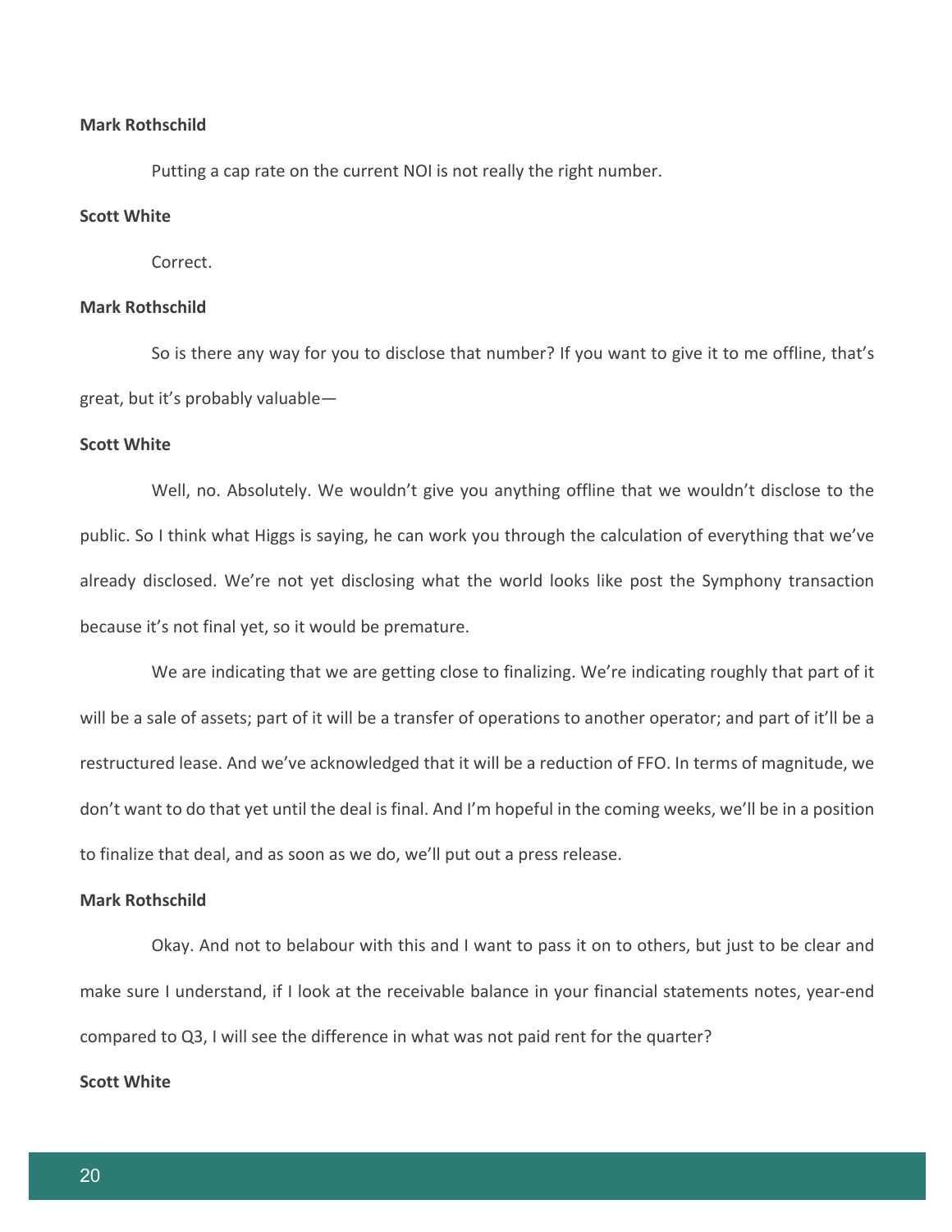## **Mark Rothschild**

Putting a cap rate on the current NOI is not really the right number.

# **Scott White**

Correct.

# **Mark Rothschild**

So is there any way for you to disclose that number? If you want to give it to me offline, that's great, but it's probably valuable—

## **Scott White**

Well, no. Absolutely. We wouldn't give you anything offline that we wouldn't disclose to the public. So I think what Higgs is saying, he can work you through the calculation of everything that we've already disclosed. We're not yet disclosing what the world looks like post the Symphony transaction because it's not final yet, so it would be premature.

We are indicating that we are getting close to finalizing. We're indicating roughly that part of it will be a sale of assets; part of it will be a transfer of operations to another operator; and part of it'll be a restructured lease. And we've acknowledged that it will be a reduction of FFO. In terms of magnitude, we don't want to do that yet until the deal is final. And I'm hopeful in the coming weeks, we'll be in a position to finalize that deal, and as soon as we do, we'll put out a press release.

## **Mark Rothschild**

Okay. And not to belabour with this and I want to pass it on to others, but just to be clear and make sure I understand, if I look at the receivable balance in your financial statements notes, year-end compared to Q3, I will see the difference in what was not paid rent for the quarter?

## **Scott White**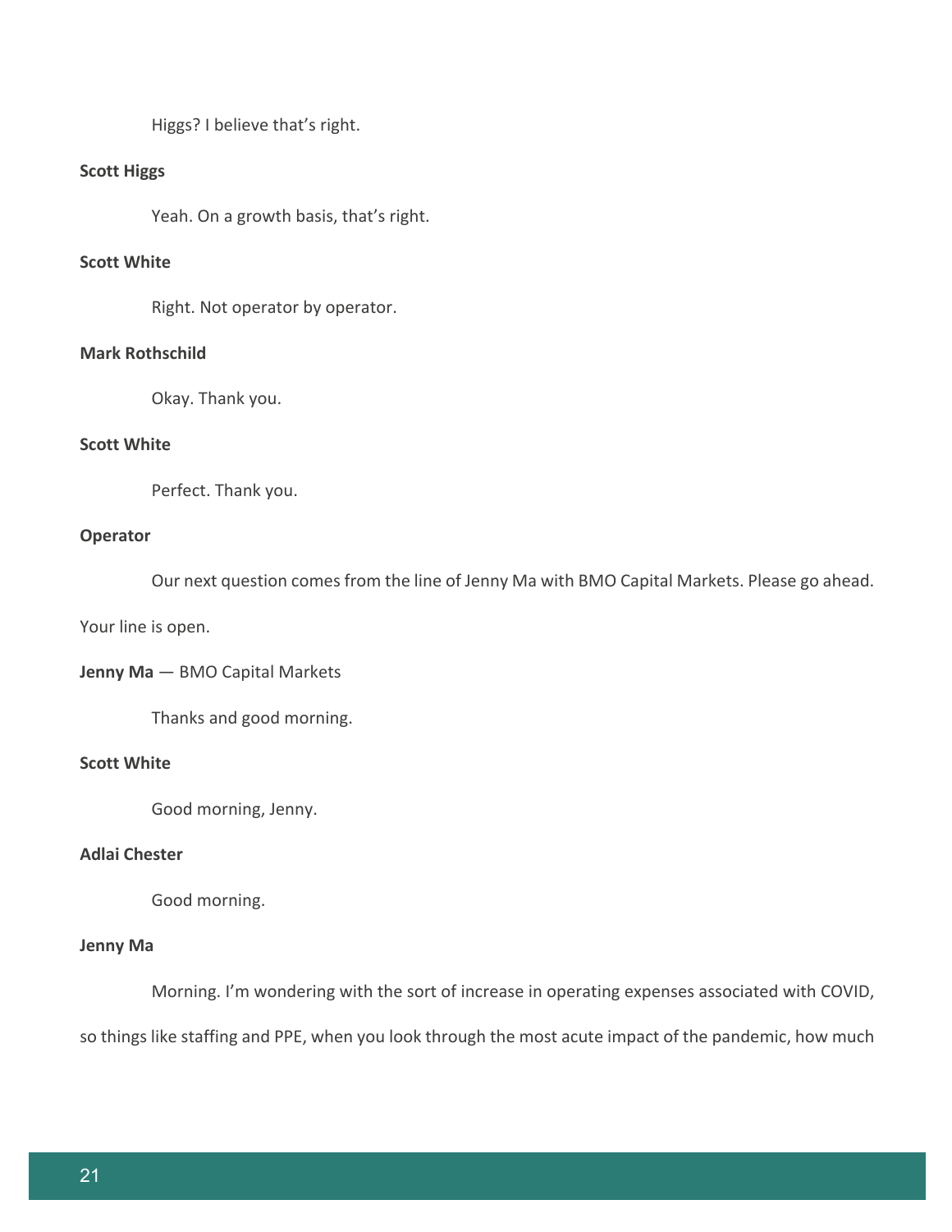Higgs? I believe that's right.

# **Scott Higgs**

Yeah. On a growth basis, that's right.

# **Scott White**

Right. Not operator by operator.

# **Mark Rothschild**

Okay. Thank you.

# **Scott White**

Perfect. Thank you.

## **Operator**

Our next question comes from the line of Jenny Ma with BMO Capital Markets. Please go ahead.

Your line is open.

**Jenny Ma** — BMO Capital Markets

Thanks and good morning.

# **Scott White**

Good morning, Jenny.

# **Adlai Chester**

Good morning.

## **Jenny Ma**

Morning. I'm wondering with the sort of increase in operating expenses associated with COVID,

so things like staffing and PPE, when you look through the most acute impact of the pandemic, how much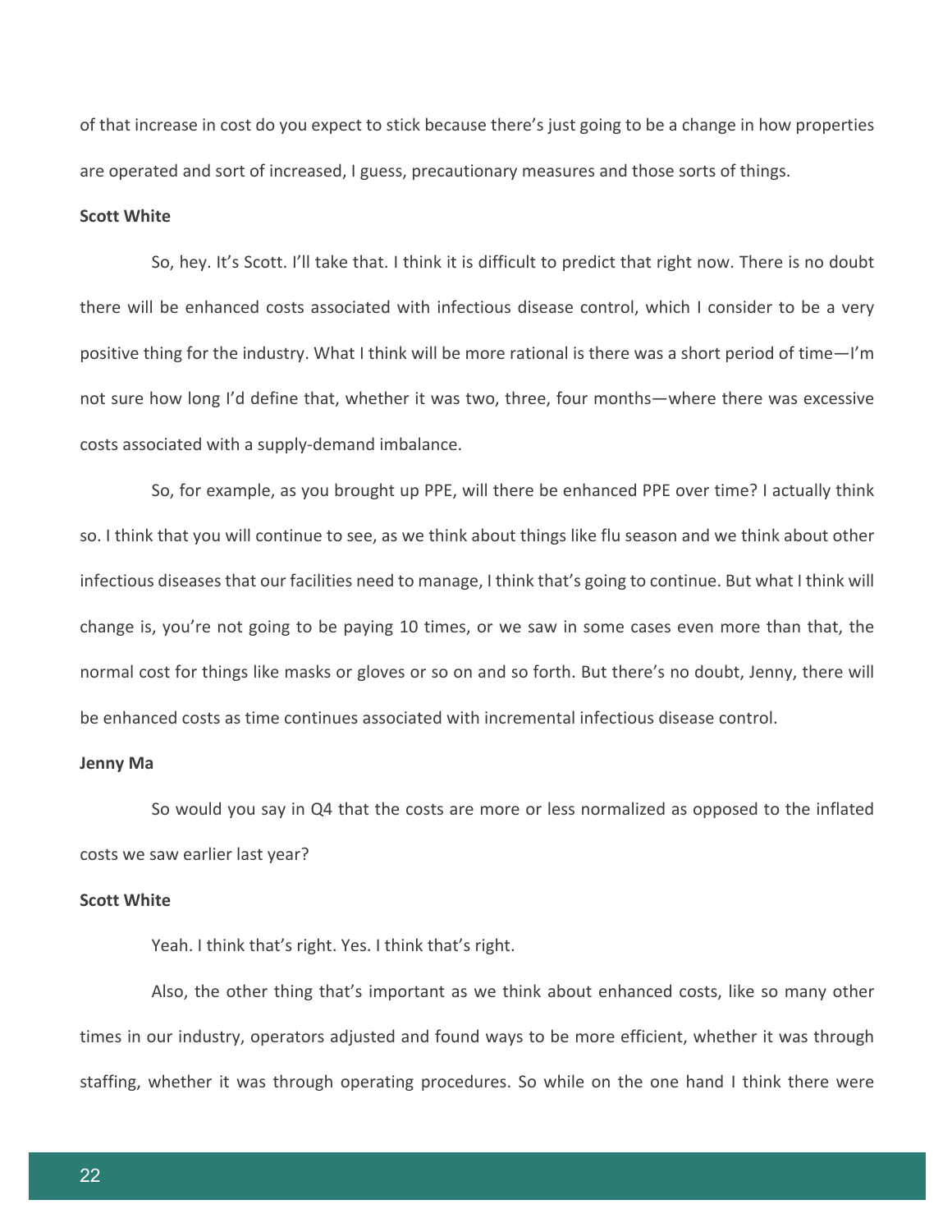of that increase in cost do you expect to stick because there's just going to be a change in how properties are operated and sort of increased, I guess, precautionary measures and those sorts of things.

# **Scott White**

So, hey. It's Scott. I'll take that. I think it is difficult to predict that right now. There is no doubt there will be enhanced costs associated with infectious disease control, which I consider to be a very positive thing for the industry. What I think will be more rational is there was a short period of time—I'm not sure how long I'd define that, whether it was two, three, four months—where there was excessive costs associated with a supply-demand imbalance.

So, for example, as you brought up PPE, will there be enhanced PPE over time? I actually think so. I think that you will continue to see, as we think about things like flu season and we think about other infectious diseases that our facilities need to manage, I think that's going to continue. But what I think will change is, you're not going to be paying 10 times, or we saw in some cases even more than that, the normal cost for things like masks or gloves or so on and so forth. But there's no doubt, Jenny, there will be enhanced costs as time continues associated with incremental infectious disease control.

#### **Jenny Ma**

So would you say in Q4 that the costs are more or less normalized as opposed to the inflated costs we saw earlier last year?

## **Scott White**

Yeah. I think that's right. Yes. I think that's right.

Also, the other thing that's important as we think about enhanced costs, like so many other times in our industry, operators adjusted and found ways to be more efficient, whether it was through staffing, whether it was through operating procedures. So while on the one hand I think there were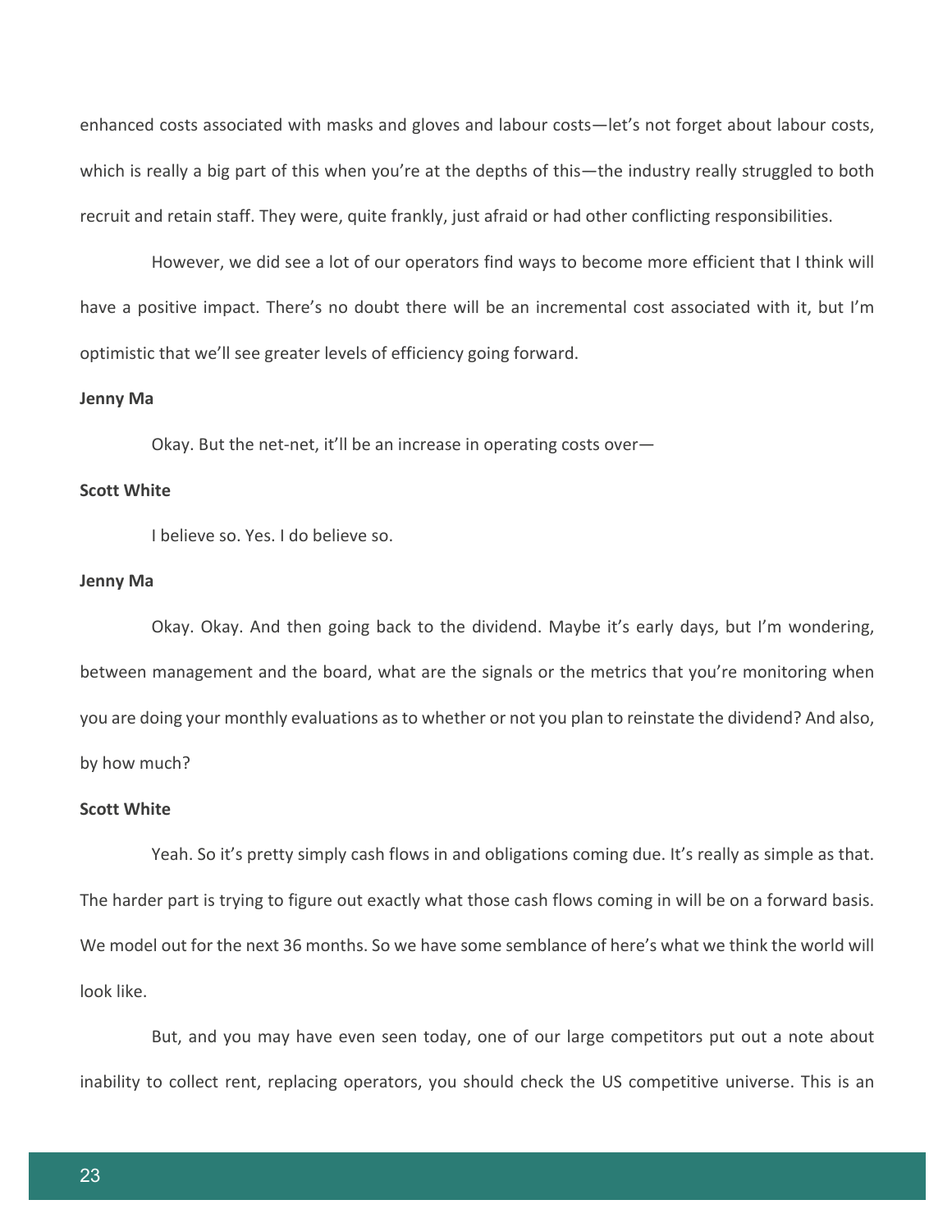enhanced costs associated with masks and gloves and labour costs—let's not forget about labour costs, which is really a big part of this when you're at the depths of this—the industry really struggled to both recruit and retain staff. They were, quite frankly, just afraid or had other conflicting responsibilities.

However, we did see a lot of our operators find ways to become more efficient that I think will have a positive impact. There's no doubt there will be an incremental cost associated with it, but I'm optimistic that we'll see greater levels of efficiency going forward.

#### **Jenny Ma**

Okay. But the net-net, it'll be an increase in operating costs over—

## **Scott White**

I believe so. Yes. I do believe so.

## **Jenny Ma**

Okay. Okay. And then going back to the dividend. Maybe it's early days, but I'm wondering, between management and the board, what are the signals or the metrics that you're monitoring when you are doing your monthly evaluations as to whether or not you plan to reinstate the dividend? And also, by how much?

#### **Scott White**

Yeah. So it's pretty simply cash flows in and obligations coming due. It's really as simple as that. The harder part is trying to figure out exactly what those cash flows coming in will be on a forward basis. We model out for the next 36 months. So we have some semblance of here's what we think the world will look like.

But, and you may have even seen today, one of our large competitors put out a note about inability to collect rent, replacing operators, you should check the US competitive universe. This is an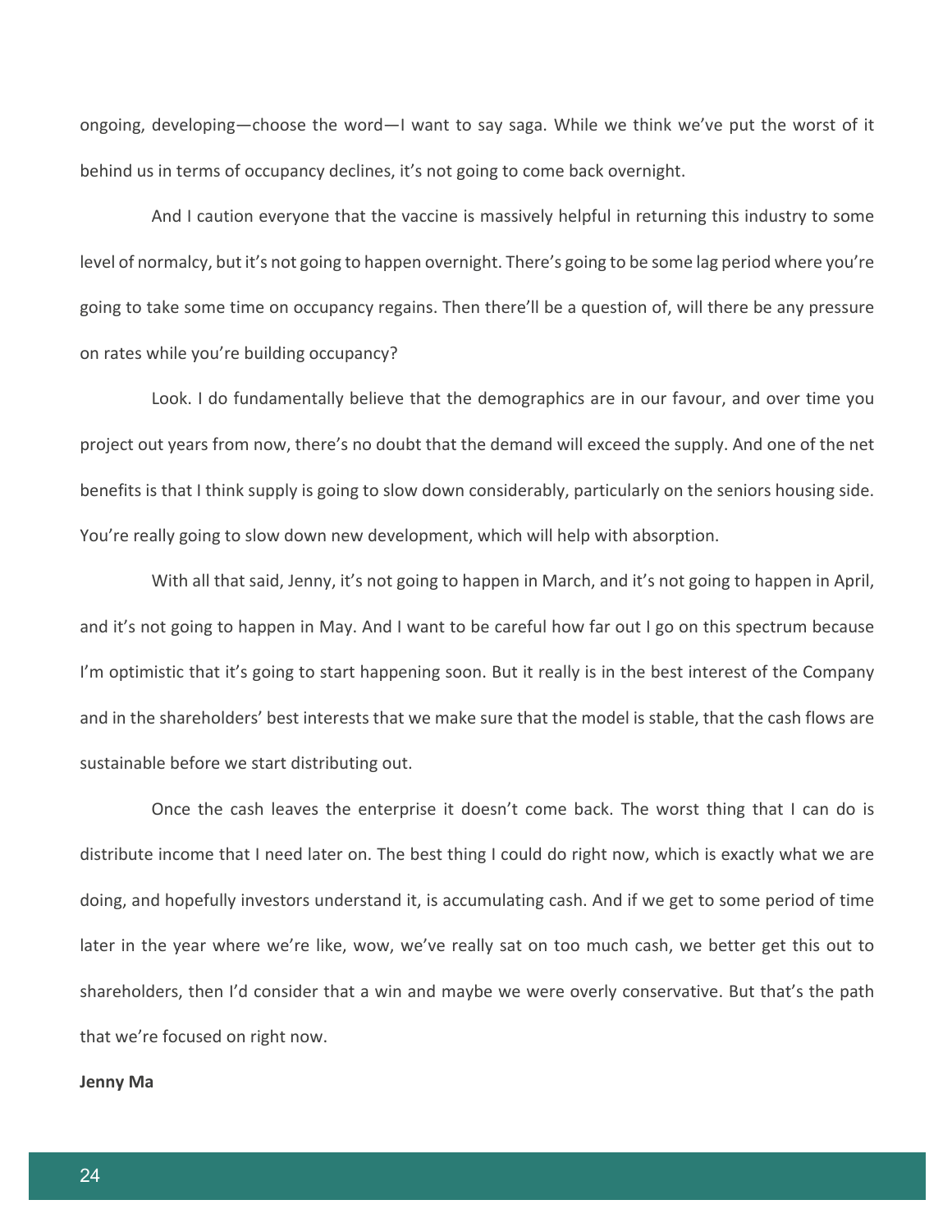ongoing, developing—choose the word—I want to say saga. While we think we've put the worst of it behind us in terms of occupancy declines, it's not going to come back overnight.

And I caution everyone that the vaccine is massively helpful in returning this industry to some level of normalcy, but it's not going to happen overnight. There's going to be some lag period where you're going to take some time on occupancy regains. Then there'll be a question of, will there be any pressure on rates while you're building occupancy?

Look. I do fundamentally believe that the demographics are in our favour, and over time you project out years from now, there's no doubt that the demand will exceed the supply. And one of the net benefits is that I think supply is going to slow down considerably, particularly on the seniors housing side. You're really going to slow down new development, which will help with absorption.

With all that said, Jenny, it's not going to happen in March, and it's not going to happen in April, and it's not going to happen in May. And I want to be careful how far out I go on this spectrum because I'm optimistic that it's going to start happening soon. But it really is in the best interest of the Company and in the shareholders' best interests that we make sure that the model is stable, that the cash flows are sustainable before we start distributing out.

Once the cash leaves the enterprise it doesn't come back. The worst thing that I can do is distribute income that I need later on. The best thing I could do right now, which is exactly what we are doing, and hopefully investors understand it, is accumulating cash. And if we get to some period of time later in the year where we're like, wow, we've really sat on too much cash, we better get this out to shareholders, then I'd consider that a win and maybe we were overly conservative. But that's the path that we're focused on right now.

#### **Jenny Ma**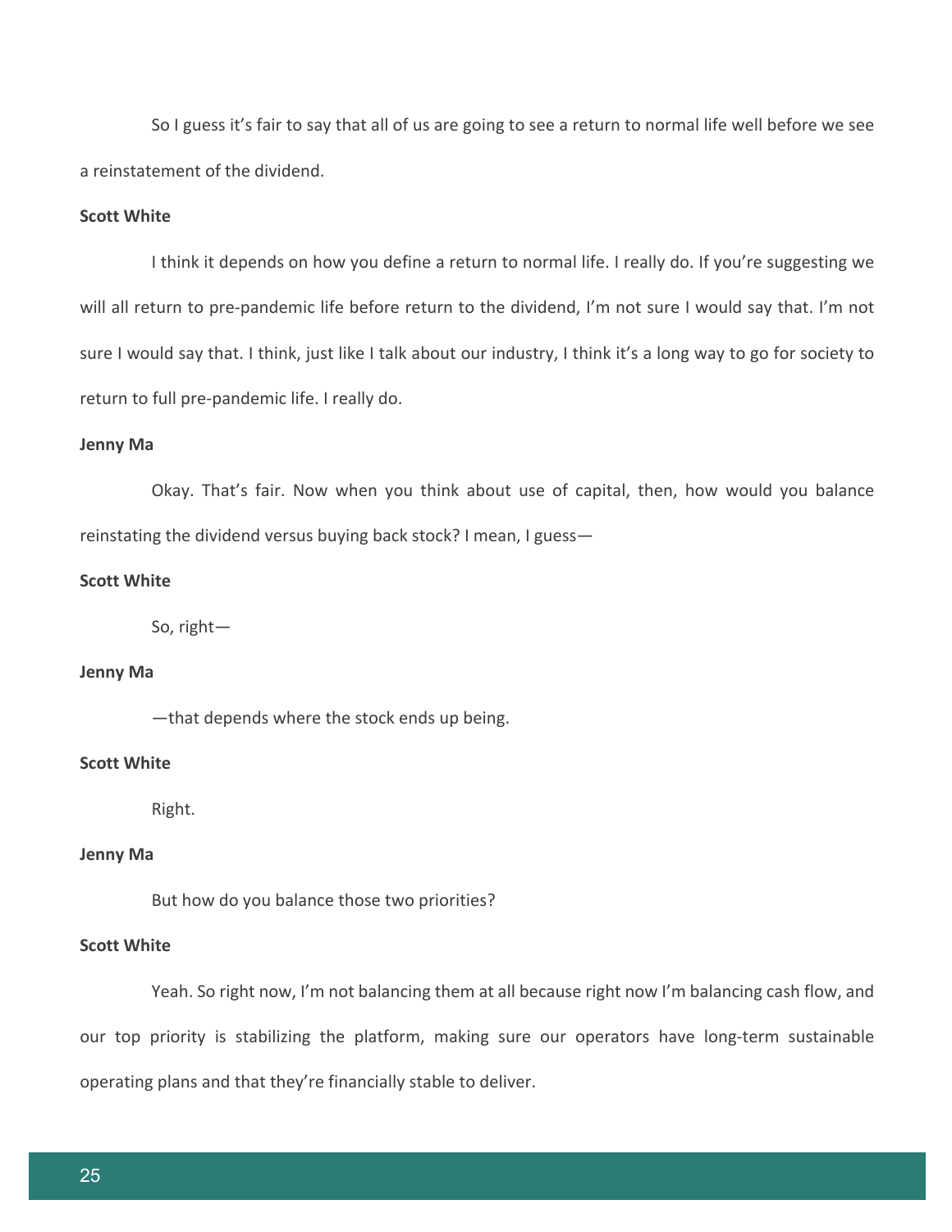So I guess it's fair to say that all of us are going to see a return to normal life well before we see a reinstatement of the dividend.

# **Scott White**

I think it depends on how you define a return to normal life. I really do. If you're suggesting we will all return to pre-pandemic life before return to the dividend, I'm not sure I would say that. I'm not sure I would say that. I think, just like I talk about our industry, I think it's a long way to go for society to return to full pre-pandemic life. I really do.

## **Jenny Ma**

Okay. That's fair. Now when you think about use of capital, then, how would you balance reinstating the dividend versus buying back stock? I mean, I guess—

## **Scott White**

So, right—

## **Jenny Ma**

—that depends where the stock ends up being.

# **Scott White**

Right.

# **Jenny Ma**

But how do you balance those two priorities?

## **Scott White**

Yeah. So right now, I'm not balancing them at all because right now I'm balancing cash flow, and our top priority is stabilizing the platform, making sure our operators have long-term sustainable operating plans and that they're financially stable to deliver.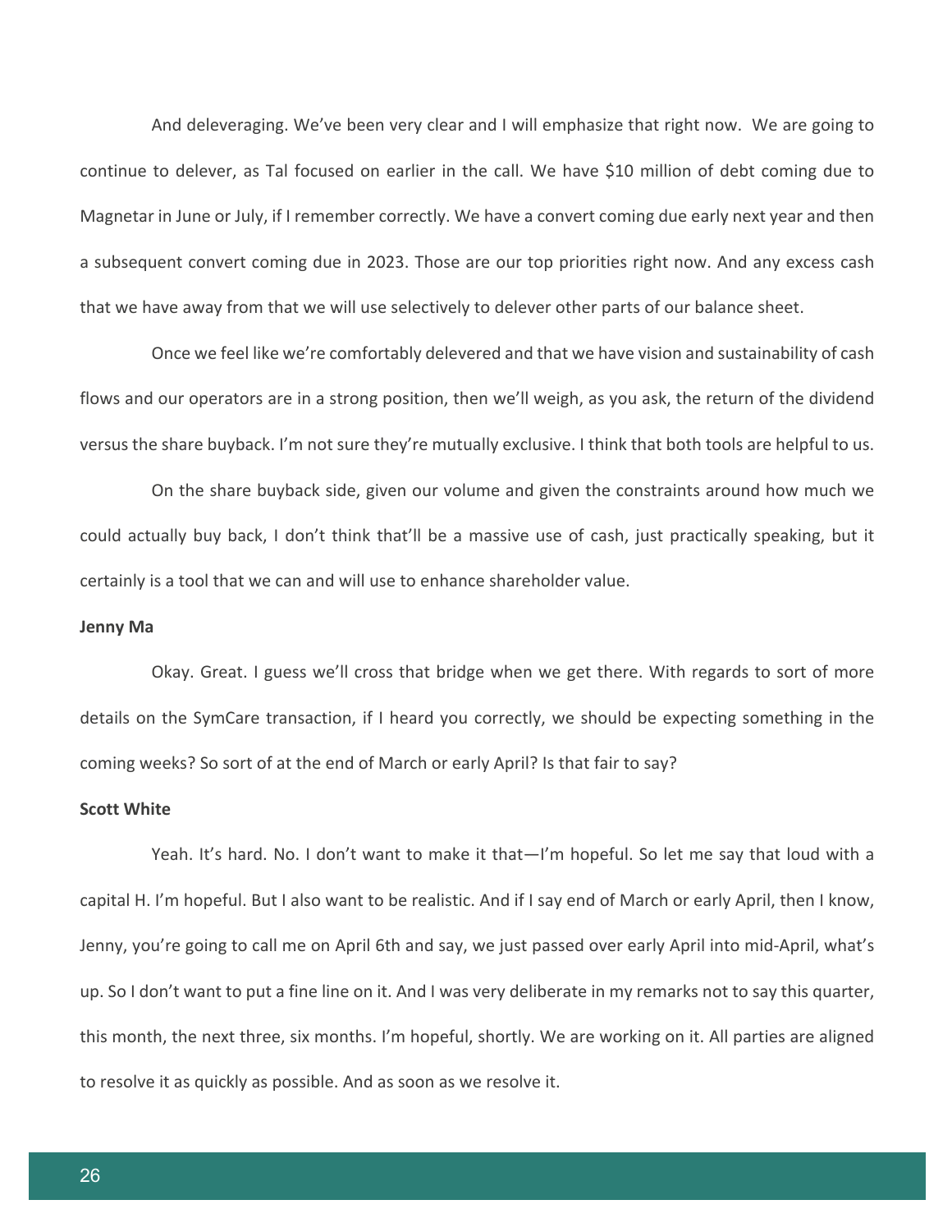And deleveraging. We've been very clear and I will emphasize that right now. We are going to continue to delever, as Tal focused on earlier in the call. We have \$10 million of debt coming due to Magnetar in June or July, if I remember correctly. We have a convert coming due early next year and then a subsequent convert coming due in 2023. Those are our top priorities right now. And any excess cash that we have away from that we will use selectively to delever other parts of our balance sheet.

Once we feel like we're comfortably delevered and that we have vision and sustainability of cash flows and our operators are in a strong position, then we'll weigh, as you ask, the return of the dividend versus the share buyback. I'm not sure they're mutually exclusive. I think that both tools are helpful to us.

On the share buyback side, given our volume and given the constraints around how much we could actually buy back, I don't think that'll be a massive use of cash, just practically speaking, but it certainly is a tool that we can and will use to enhance shareholder value.

#### **Jenny Ma**

Okay. Great. I guess we'll cross that bridge when we get there. With regards to sort of more details on the SymCare transaction, if I heard you correctly, we should be expecting something in the coming weeks? So sort of at the end of March or early April? Is that fair to say?

#### **Scott White**

Yeah. It's hard. No. I don't want to make it that—I'm hopeful. So let me say that loud with a capital H. I'm hopeful. But I also want to be realistic. And if I say end of March or early April, then I know, Jenny, you're going to call me on April 6th and say, we just passed over early April into mid-April, what's up. So I don't want to put a fine line on it. And I was very deliberate in my remarks not to say this quarter, this month, the next three, six months. I'm hopeful, shortly. We are working on it. All parties are aligned to resolve it as quickly as possible. And as soon as we resolve it.